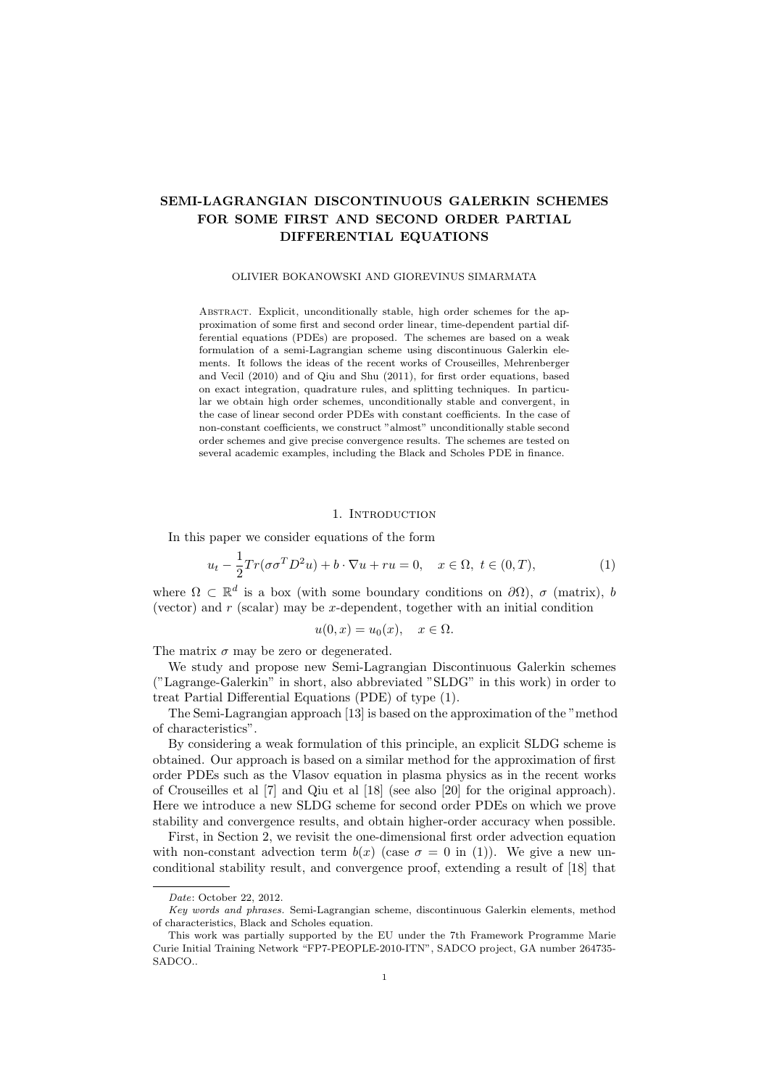# SEMI-LAGRANGIAN DISCONTINUOUS GALERKIN SCHEMES FOR SOME FIRST AND SECOND ORDER PARTIAL DIFFERENTIAL EQUATIONS

# OLIVIER BOKANOWSKI AND GIOREVINUS SIMARMATA

ABSTRACT. Explicit, unconditionally stable, high order schemes for the approximation of some first and second order linear, time-dependent partial differential equations (PDEs) are proposed. The schemes are based on a weak formulation of a semi-Lagrangian scheme using discontinuous Galerkin elements. It follows the ideas of the recent works of Crouseilles, Mehrenberger and Vecil (2010) and of Qiu and Shu (2011), for first order equations, based on exact integration, quadrature rules, and splitting techniques. In particular we obtain high order schemes, unconditionally stable and convergent, in the case of linear second order PDEs with constant coefficients. In the case of non-constant coefficients, we construct "almost" unconditionally stable second order schemes and give precise convergence results. The schemes are tested on several academic examples, including the Black and Scholes PDE in finance.

# 1. INTRODUCTION

In this paper we consider equations of the form

$$
u_t - \frac{1}{2}Tr(\sigma\sigma^T D^2 u) + b \cdot \nabla u + ru = 0, \quad x \in \Omega, \ t \in (0, T), \tag{1}
$$

where  $\Omega \subset \mathbb{R}^d$  is a box (with some boundary conditions on  $\partial\Omega$ ),  $\sigma$  (matrix), b (vector) and  $r$  (scalar) may be  $x$ -dependent, together with an initial condition

$$
u(0, x) = u_0(x), \quad x \in \Omega.
$$

The matrix  $\sigma$  may be zero or degenerated.

We study and propose new Semi-Lagrangian Discontinuous Galerkin schemes ("Lagrange-Galerkin" in short, also abbreviated "SLDG" in this work) in order to treat Partial Differential Equations (PDE) of type (1).

The Semi-Lagrangian approach [13] is based on the approximation of the "method of characteristics".

By considering a weak formulation of this principle, an explicit SLDG scheme is obtained. Our approach is based on a similar method for the approximation of first order PDEs such as the Vlasov equation in plasma physics as in the recent works of Crouseilles et al [7] and Qiu et al [18] (see also [20] for the original approach). Here we introduce a new SLDG scheme for second order PDEs on which we prove stability and convergence results, and obtain higher-order accuracy when possible.

First, in Section 2, we revisit the one-dimensional first order advection equation with non-constant advection term  $b(x)$  (case  $\sigma = 0$  in (1)). We give a new unconditional stability result, and convergence proof, extending a result of [18] that

Date: October 22, 2012.

Key words and phrases. Semi-Lagrangian scheme, discontinuous Galerkin elements, method of characteristics, Black and Scholes equation.

This work was partially supported by the EU under the 7th Framework Programme Marie Curie Initial Training Network "FP7-PEOPLE-2010-ITN", SADCO project, GA number 264735- SADCO..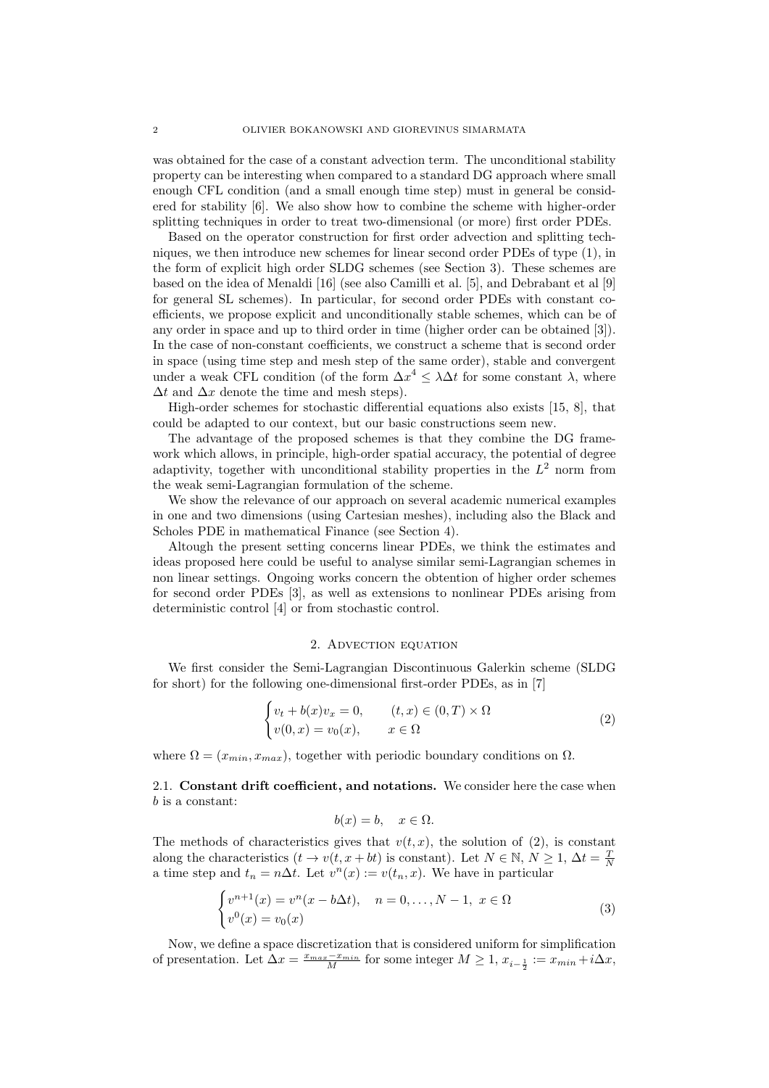was obtained for the case of a constant advection term. The unconditional stability property can be interesting when compared to a standard DG approach where small enough CFL condition (and a small enough time step) must in general be considered for stability [6]. We also show how to combine the scheme with higher-order splitting techniques in order to treat two-dimensional (or more) first order PDEs.

Based on the operator construction for first order advection and splitting techniques, we then introduce new schemes for linear second order PDEs of type (1), in the form of explicit high order SLDG schemes (see Section 3). These schemes are based on the idea of Menaldi [16] (see also Camilli et al. [5], and Debrabant et al [9] for general SL schemes). In particular, for second order PDEs with constant coefficients, we propose explicit and unconditionally stable schemes, which can be of any order in space and up to third order in time (higher order can be obtained [3]). In the case of non-constant coefficients, we construct a scheme that is second order in space (using time step and mesh step of the same order), stable and convergent under a weak CFL condition (of the form  $\Delta x^4 \leq \lambda \Delta t$  for some constant  $\lambda$ , where  $\Delta t$  and  $\Delta x$  denote the time and mesh steps).

High-order schemes for stochastic differential equations also exists [15, 8], that could be adapted to our context, but our basic constructions seem new.

The advantage of the proposed schemes is that they combine the DG framework which allows, in principle, high-order spatial accuracy, the potential of degree adaptivity, together with unconditional stability properties in the  $L^2$  norm from the weak semi-Lagrangian formulation of the scheme.

We show the relevance of our approach on several academic numerical examples in one and two dimensions (using Cartesian meshes), including also the Black and Scholes PDE in mathematical Finance (see Section 4).

Altough the present setting concerns linear PDEs, we think the estimates and ideas proposed here could be useful to analyse similar semi-Lagrangian schemes in non linear settings. Ongoing works concern the obtention of higher order schemes for second order PDEs [3], as well as extensions to nonlinear PDEs arising from deterministic control [4] or from stochastic control.

## 2. Advection equation

We first consider the Semi-Lagrangian Discontinuous Galerkin scheme (SLDG for short) for the following one-dimensional first-order PDEs, as in [7]

$$
\begin{cases} v_t + b(x)v_x = 0, & (t, x) \in (0, T) \times \Omega \\ v(0, x) = v_0(x), & x \in \Omega \end{cases}
$$
 (2)

where  $\Omega = (x_{min}, x_{max})$ , together with periodic boundary conditions on  $\Omega$ .

2.1. Constant drift coefficient, and notations. We consider here the case when b is a constant:

$$
b(x) = b, \quad x \in \Omega.
$$

The methods of characteristics gives that  $v(t, x)$ , the solution of (2), is constant along the characteristics  $(t \to v(t, x + bt)$  is constant). Let  $N \in \mathbb{N}, N \ge 1, \Delta t = \frac{T}{N}$ a time step and  $t_n = n\Delta t$ . Let  $v^n(x) := v(t_n, x)$ . We have in particular

$$
\begin{cases} v^{n+1}(x) = v^n(x - b\Delta t), & n = 0, ..., N - 1, \ x \in \Omega \\ v^0(x) = v_0(x) \end{cases}
$$
 (3)

Now, we define a space discretization that is considered uniform for simplification of presentation. Let  $\Delta x = \frac{x_{max}-x_{min}}{M}$  for some integer  $M \ge 1$ ,  $x_{i-\frac{1}{2}} := x_{min} + i\Delta x$ ,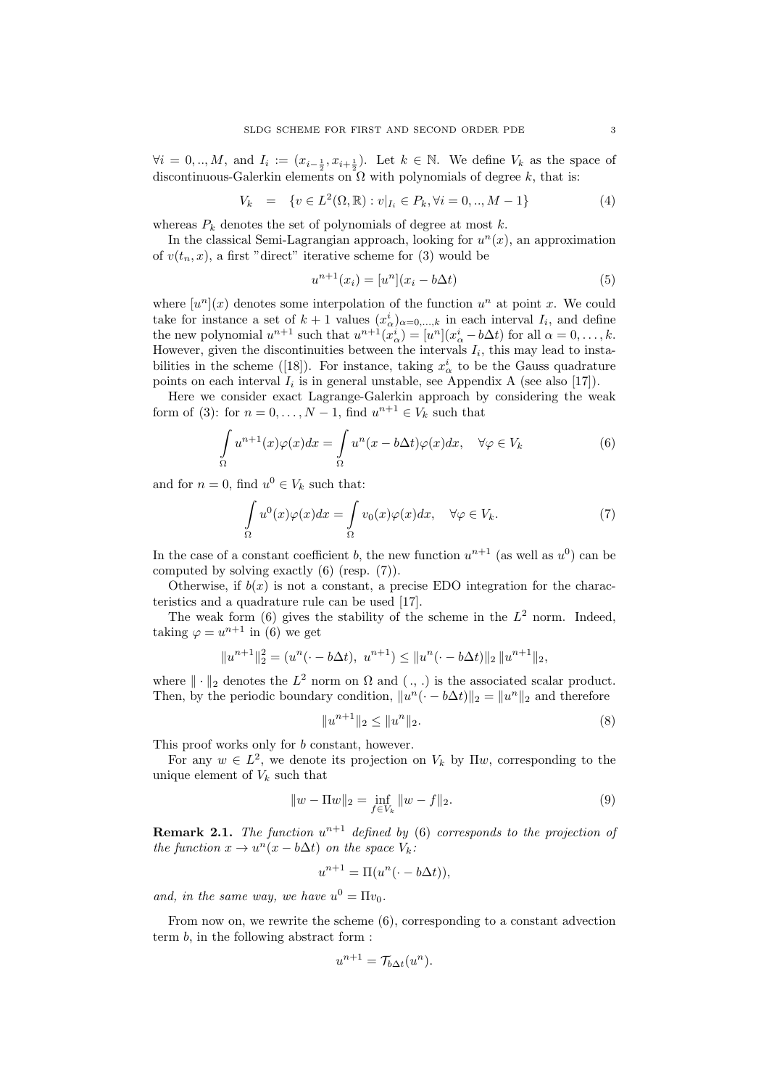$\forall i = 0, ..., M$ , and  $I_i := (x_{i-\frac{1}{2}}, x_{i+\frac{1}{2}})$ . Let  $k \in \mathbb{N}$ . We define  $V_k$  as the space of discontinuous-Galerkin elements on  $\Omega$  with polynomials of degree k, that is:

$$
V_k = \{ v \in L^2(\Omega, \mathbb{R}) : v|_{I_i} \in P_k, \forall i = 0, ..., M - 1 \}
$$
 (4)

whereas  $P_k$  denotes the set of polynomials of degree at most k.

In the classical Semi-Lagrangian approach, looking for  $u<sup>n</sup>(x)$ , an approximation of  $v(t_n, x)$ , a first "direct" iterative scheme for (3) would be

$$
u^{n+1}(x_i) = [u^n](x_i - b\Delta t)
$$
\n(5)

where  $[u^n](x)$  denotes some interpolation of the function  $u^n$  at point x. We could take for instance a set of  $k+1$  values  $(x_{\alpha}^i)_{\alpha=0,\ldots,k}$  in each interval  $I_i$ , and define the new polynomial  $u^{n+1}$  such that  $u^{n+1}(x_\alpha^i) = [u^n](x_\alpha^i - b\Delta t)$  for all  $\alpha = 0, \ldots, k$ . However, given the discontinuities between the intervals  $I_i$ , this may lead to instabilities in the scheme ([18]). For instance, taking  $x^i_\alpha$  to be the Gauss quadrature points on each interval  $I_i$  is in general unstable, see Appendix A (see also [17]).

Here we consider exact Lagrange-Galerkin approach by considering the weak form of (3): for  $n = 0, \ldots, N - 1$ , find  $u^{n+1} \in V_k$  such that

$$
\int_{\Omega} u^{n+1}(x)\varphi(x)dx = \int_{\Omega} u^n(x - b\Delta t)\varphi(x)dx, \quad \forall \varphi \in V_k
$$
\n(6)

and for  $n = 0$ , find  $u^0 \in V_k$  such that:

$$
\int_{\Omega} u^{0}(x)\varphi(x)dx = \int_{\Omega} v_{0}(x)\varphi(x)dx, \quad \forall \varphi \in V_{k}.
$$
\n(7)

In the case of a constant coefficient b, the new function  $u^{n+1}$  (as well as  $u^0$ ) can be computed by solving exactly (6) (resp. (7)).

Otherwise, if  $b(x)$  is not a constant, a precise EDO integration for the characteristics and a quadrature rule can be used [17].

The weak form  $(6)$  gives the stability of the scheme in the  $L^2$  norm. Indeed, taking  $\varphi = u^{n+1}$  in (6) we get

$$
||u^{n+1}||_2^2 = (u^n(\cdot - b\Delta t), u^{n+1}) \le ||u^n(\cdot - b\Delta t)||_2 ||u^{n+1}||_2,
$$

where  $\|\cdot\|_2$  denotes the  $L^2$  norm on  $\Omega$  and  $(., .)$  is the associated scalar product. Then, by the periodic boundary condition,  $||u^n(\cdot - b\Delta t)||_2 = ||u^n||_2$  and therefore

$$
||u^{n+1}||_2 \le ||u^n||_2. \tag{8}
$$

This proof works only for b constant, however.

For any  $w \in L^2$ , we denote its projection on  $V_k$  by  $\Pi w$ , corresponding to the unique element of  $V_k$  such that

$$
||w - \Pi w||_2 = \inf_{f \in V_k} ||w - f||_2.
$$
\n(9)

**Remark 2.1.** The function  $u^{n+1}$  defined by (6) corresponds to the projection of the function  $x \to u^n(x - b\Delta t)$  on the space  $V_k$ :

$$
u^{n+1} = \Pi(u^n(\cdot - b\Delta t)),
$$

and, in the same way, we have  $u^0 = \Pi v_0$ .

From now on, we rewrite the scheme (6), corresponding to a constant advection term b, in the following abstract form :

$$
u^{n+1} = \mathcal{T}_{b\Delta t}(u^n).
$$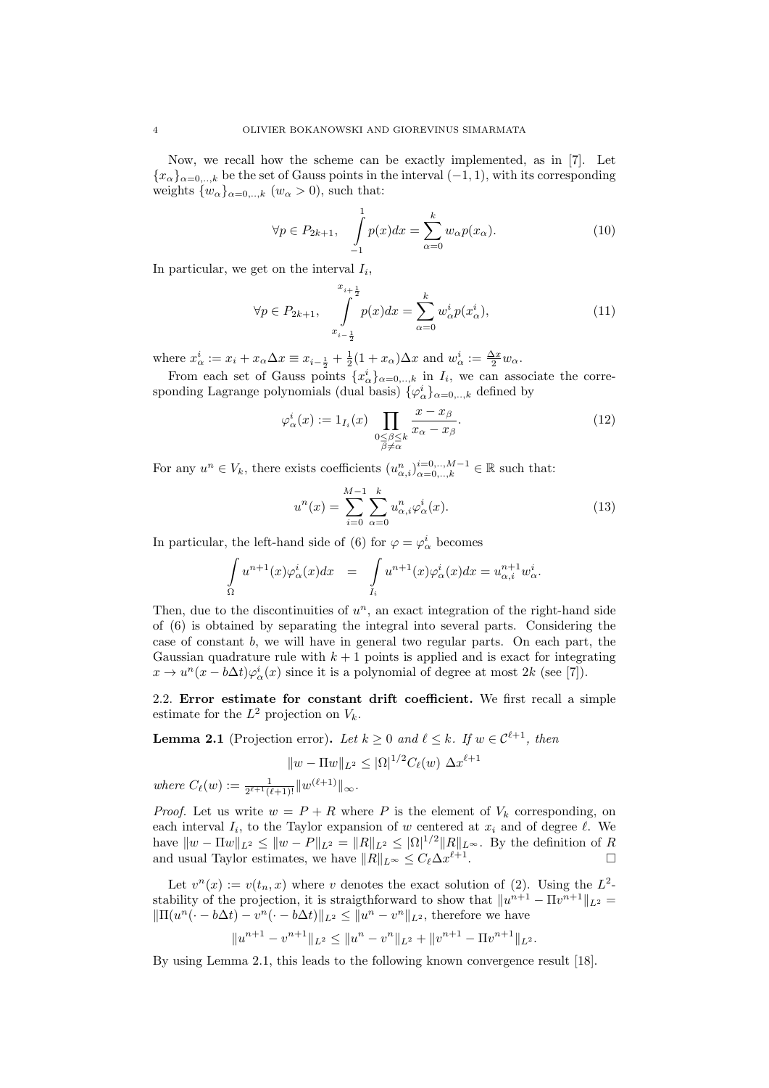Now, we recall how the scheme can be exactly implemented, as in [7]. Let  ${x<sub>\alpha</sub>}_{\alpha=0,...,k}$  be the set of Gauss points in the interval (-1, 1), with its corresponding weights  $\{w_{\alpha}\}_{{\alpha}=0,\dots,k}$   $(w_{\alpha}>0)$ , such that:

$$
\forall p \in P_{2k+1}, \quad \int_{-1}^{1} p(x)dx = \sum_{\alpha=0}^{k} w_{\alpha}p(x_{\alpha}). \tag{10}
$$

In particular, we get on the interval  $I_i$ ,

$$
\forall p \in P_{2k+1}, \quad \int_{x_{i-\frac{1}{2}}}^{x_{i+\frac{1}{2}}} p(x)dx = \sum_{\alpha=0}^{k} w_{\alpha}^{i} p(x_{\alpha}^{i}), \tag{11}
$$

where  $x^i_\alpha := x_i + x_\alpha \Delta x \equiv x_{i-\frac{1}{2}} + \frac{1}{2}(1+x_\alpha)\Delta x$  and  $w^i_\alpha := \frac{\Delta x}{2}w_\alpha$ .

From each set of Gauss points  $\{x_{\alpha}^{i}\}_{\alpha=0,..,k}$  in  $I_{i}$ , we can associate the corresponding Lagrange polynomials (dual basis)  $\{\varphi^i_\alpha\}_{\alpha=0,\dots,k}$  defined by

$$
\varphi_{\alpha}^{i}(x) := 1_{I_{i}}(x) \prod_{\substack{0 \le \beta \le k \\ \beta \ne \alpha}} \frac{x - x_{\beta}}{x_{\alpha} - x_{\beta}}.
$$
\n(12)

For any  $u^n \in V_k$ , there exists coefficients  $(u^n_{\alpha,i})_{\alpha=0,..,k}^{i=0,..,M-1} \in \mathbb{R}$  such that:

$$
u^{n}(x) = \sum_{i=0}^{M-1} \sum_{\alpha=0}^{k} u^{n}_{\alpha,i} \varphi_{\alpha}^{i}(x).
$$
 (13)

In particular, the left-hand side of (6) for  $\varphi = \varphi^i_\alpha$  becomes

$$
\int_{\Omega} u^{n+1}(x)\varphi_{\alpha}^{i}(x)dx = \int_{I_{i}} u^{n+1}(x)\varphi_{\alpha}^{i}(x)dx = u_{\alpha,i}^{n+1}w_{\alpha}^{i}.
$$

Then, due to the discontinuities of  $u^n$ , an exact integration of the right-hand side of (6) is obtained by separating the integral into several parts. Considering the case of constant b, we will have in general two regular parts. On each part, the Gaussian quadrature rule with  $k + 1$  points is applied and is exact for integrating  $x \to u^{n}(x - b\Delta t)\varphi_{\alpha}^{i}(x)$  since it is a polynomial of degree at most  $2k$  (see [7]).

2.2. Error estimate for constant drift coefficient. We first recall a simple estimate for the  $L^2$  projection on  $V_k$ .

**Lemma 2.1** (Projection error). Let  $k \geq 0$  and  $\ell \leq k$ . If  $w \in C^{\ell+1}$ , then

$$
||w - \Pi w||_{L^2} \le |\Omega|^{1/2} C_{\ell}(w) \Delta x^{\ell+1}
$$

where  $C_{\ell}(w) := \frac{1}{2^{\ell+1}(\ell+1)!} ||w^{(\ell+1)}||_{\infty}$ .

*Proof.* Let us write  $w = P + R$  where P is the element of  $V_k$  corresponding, on each interval  $I_i$ , to the Taylor expansion of w centered at  $x_i$  and of degree  $\ell$ . We have  $||w - \Pi w||_{L^2} \le ||w - P||_{L^2} = ||R||_{L^2} \le |\Omega|^{1/2} ||R||_{L^{\infty}}$ . By the definition of R and usual Taylor estimates, we have  $||R||_{L^{\infty}} \leq C_{\ell} \Delta x^{\ell+1}$ .

Let  $v^n(x) := v(t_n, x)$  where v denotes the exact solution of (2). Using the  $L^2$ stability of the projection, it is straigthforward to show that  $||u^{n+1} - \Pi v^{n+1}||_{L^2} =$  $\|\Pi(u^n(\cdot - b\Delta t) - v^n(\cdot - b\Delta t)\|_{L^2} \leq \|u^n - v^n\|_{L^2}$ , therefore we have

$$
||u^{n+1} - v^{n+1}||_{L^2} \le ||u^n - v^n||_{L^2} + ||v^{n+1} - \Pi v^{n+1}||_{L^2}.
$$

By using Lemma 2.1, this leads to the following known convergence result [18].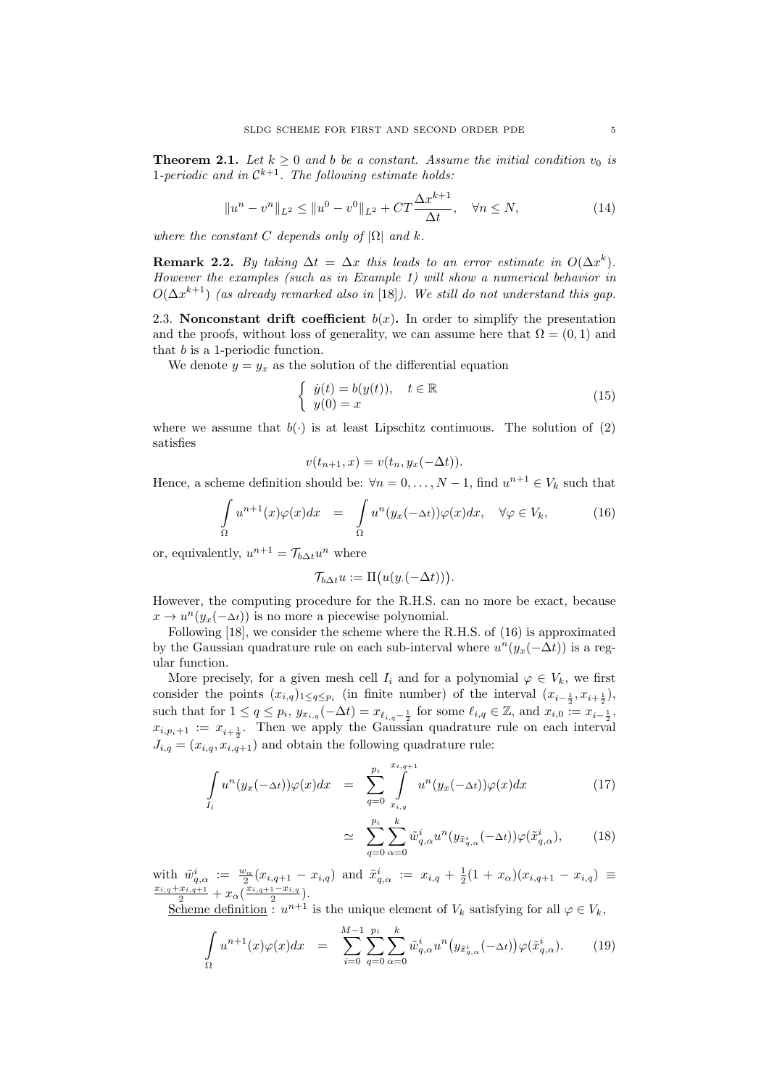**Theorem 2.1.** Let  $k \geq 0$  and b be a constant. Assume the initial condition  $v_0$  is 1-periodic and in  $\mathcal{C}^{k+1}$ . The following estimate holds:

$$
||u^n - v^n||_{L^2} \le ||u^0 - v^0||_{L^2} + CT\frac{\Delta x^{k+1}}{\Delta t}, \quad \forall n \le N,
$$
\n(14)

where the constant C depends only of  $|\Omega|$  and k.

**Remark 2.2.** By taking  $\Delta t = \Delta x$  this leads to an error estimate in  $O(\Delta x^k)$ . However the examples (such as in Example 1) will show a numerical behavior in  $O(\Delta x^{k+1})$  (as already remarked also in [18]). We still do not understand this gap.

2.3. Nonconstant drift coefficient  $b(x)$ . In order to simplify the presentation and the proofs, without loss of generality, we can assume here that  $\Omega = (0, 1)$  and that b is a 1-periodic function.

We denote  $y = y_x$  as the solution of the differential equation

$$
\begin{cases}\n\dot{y}(t) = b(y(t)), \quad t \in \mathbb{R} \\
y(0) = x\n\end{cases}
$$
\n(15)

where we assume that  $b(\cdot)$  is at least Lipschitz continuous. The solution of (2) satisfies

$$
v(t_{n+1},x) = v(t_n, y_x(-\Delta t)).
$$

Hence, a scheme definition should be:  $\forall n = 0, ..., N - 1$ , find  $u^{n+1} \in V_k$  such that

$$
\int_{\Omega} u^{n+1}(x)\varphi(x)dx = \int_{\Omega} u^n(y_x(-\Delta t))\varphi(x)dx, \quad \forall \varphi \in V_k,
$$
\n(16)

or, equivalently,  $u^{n+1} = \mathcal{T}_{b\Delta t}u^n$  where

$$
\mathcal{T}_{b\Delta t}u := \Pi(u(y.(-\Delta t))).
$$

However, the computing procedure for the R.H.S. can no more be exact, because  $x \to u^{n}(y_x(-\Delta t))$  is no more a piecewise polynomial.

Following [18], we consider the scheme where the R.H.S. of (16) is approximated by the Gaussian quadrature rule on each sub-interval where  $u^{n}(y_{x}(-\Delta t))$  is a regular function.

More precisely, for a given mesh cell  $I_i$  and for a polynomial  $\varphi \in V_k$ , we first consider the points  $(x_{i,q})_{1 \leq q \leq p_i}$  (in finite number) of the interval  $(x_{i-\frac{1}{2}}, x_{i+\frac{1}{2}})$ , such that for  $1 \le q \le p_i$ ,  $y_{x_{i,q}}(-\Delta t) = x_{\ell_{i,q}-\frac{1}{2}}$  for some  $\ell_{i,q} \in \mathbb{Z}$ , and  $x_{i,0} := x_{i-\frac{1}{2}}$ ,  $x_{i,p_i+1} := x_{i+\frac{1}{2}}$ . Then we apply the Gaussian quadrature rule on each interval  $J_{i,q} = (x_{i,q}, x_{i,q+1})$  and obtain the following quadrature rule:

$$
\int_{I_i} u^n(y_x(-\Delta t))\varphi(x)dx = \sum_{q=0}^{p_i} \int_{x_{i,q}}^{x_{i,q+1}} u^n(y_x(-\Delta t))\varphi(x)dx \qquad (17)
$$

$$
\simeq \sum_{q=0}^{p_i} \sum_{\alpha=0}^k \tilde{w}_{q,\alpha}^i u^n(y_{\tilde{x}_{q,\alpha}^i}(-\Delta t)) \varphi(\tilde{x}_{q,\alpha}^i), \qquad (18)
$$

with  $\tilde{w}_{q,\alpha}^i := \frac{w_\alpha}{2}(x_{i,q+1} - x_{i,q})$  and  $\tilde{x}_{q,\alpha}^i := x_{i,q} + \frac{1}{2}(1 + x_\alpha)(x_{i,q+1} - x_{i,q}) \equiv$  $\frac{x_{i,q}+x_{i,q+1}}{2}+x_{\alpha}(\frac{x_{i,q+1}-x_{i,q}}{2}).$ 

Scheme definition :  $u^{n+1}$  is the unique element of  $V_k$  satisfying for all  $\varphi \in V_k$ ,

$$
\int_{\Omega} u^{n+1}(x)\varphi(x)dx = \sum_{i=0}^{M-1} \sum_{q=0}^{p_i} \sum_{\alpha=0}^{k} \tilde{w}_{q,\alpha}^i u^n \big( y_{\tilde{x}_{q,\alpha}^i}(-\Delta t) \big) \varphi(\tilde{x}_{q,\alpha}^i). \tag{19}
$$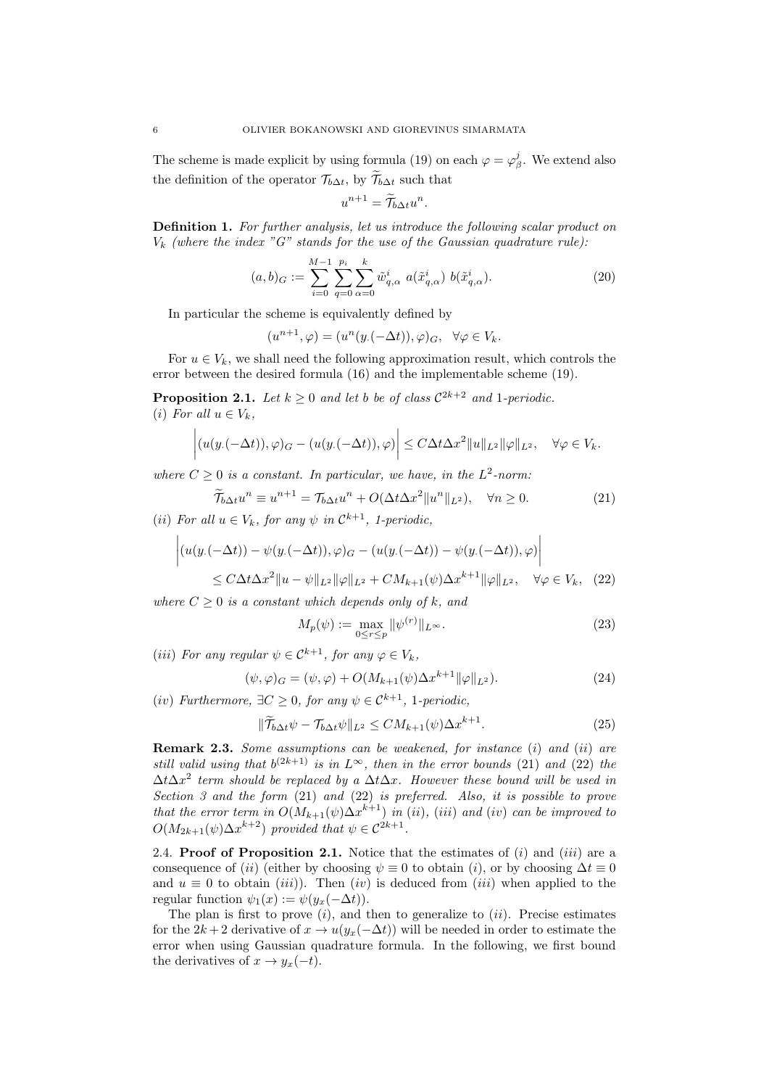The scheme is made explicit by using formula (19) on each  $\varphi = \varphi_{\beta}^{j}$ . We extend also the definition of the operator  $\mathcal{T}_{b\Delta t}$ , by  $\widetilde{\mathcal{T}}_{b\Delta t}$  such that

$$
u^{n+1} = \widetilde{\mathcal{T}}_{b\Delta t} u^n.
$$

Definition 1. For further analysis, let us introduce the following scalar product on  $V_k$  (where the index "G" stands for the use of the Gaussian quadrature rule):

$$
(a,b)_G := \sum_{i=0}^{M-1} \sum_{q=0}^{p_i} \sum_{\alpha=0}^k \tilde{w}_{q,\alpha}^i \ a(\tilde{x}_{q,\alpha}^i) \ b(\tilde{x}_{q,\alpha}^i). \tag{20}
$$

In particular the scheme is equivalently defined by

$$
(u^{n+1}, \varphi) = (u^n(y.(-\Delta t)), \varphi)_G, \ \ \forall \varphi \in V_k.
$$

For  $u \in V_k$ , we shall need the following approximation result, which controls the error between the desired formula (16) and the implementable scheme (19).

**Proposition 2.1.** Let  $k \geq 0$  and let b be of class  $C^{2k+2}$  and 1-periodic. (i) For all  $u \in V_k$ ,

$$
\left| (u(y.(-\Delta t)), \varphi)_{G} - (u(y.(-\Delta t)), \varphi) \right| \leq C \Delta t \Delta x^{2} ||u||_{L^{2}} ||\varphi||_{L^{2}}, \quad \forall \varphi \in V_{k}.
$$

where  $C \geq 0$  is a constant. In particular, we have, in the  $L^2$ -norm:

$$
\widetilde{\mathcal{T}}_{b\Delta t}u^n \equiv u^{n+1} = \mathcal{T}_{b\Delta t}u^n + O(\Delta t \Delta x^2 ||u^n||_{L^2}), \quad \forall n \ge 0.
$$
\n<sup>(21)</sup>

(*ii*) For all  $u \in V_k$ , for any  $\psi$  in  $\mathcal{C}^{k+1}$ , 1-periodic,

$$
\left| (u(y.(-\Delta t)) - \psi(y.(-\Delta t)), \varphi)_G - (u(y.(-\Delta t)) - \psi(y.(-\Delta t)), \varphi) \right|
$$
  

$$
\leq C \Delta t \Delta x^2 \|u - \psi\|_{L^2} \|\varphi\|_{L^2} + C M_{k+1}(\psi) \Delta x^{k+1} \|\varphi\|_{L^2}, \quad \forall \varphi \in V_k, \quad (22)
$$

where  $C > 0$  is a constant which depends only of k, and

$$
M_p(\psi) := \max_{0 \le r \le p} \|\psi^{(r)}\|_{L^\infty}.
$$
 (23)

(iii) For any regular  $\psi \in C^{k+1}$ , for any  $\varphi \in V_k$ ,

$$
(\psi, \varphi)_G = (\psi, \varphi) + O(M_{k+1}(\psi) \Delta x^{k+1} ||\varphi||_{L^2}).
$$
\n(24)

(iv) Furthermore,  $\exists C \geq 0$ , for any  $\psi \in \mathcal{C}^{k+1}$ , 1-periodic,

$$
\|\widetilde{\mathcal{T}}_{b\Delta t}\psi - \mathcal{T}_{b\Delta t}\psi\|_{L^2} \le CM_{k+1}(\psi)\Delta x^{k+1}.\tag{25}
$$

**Remark 2.3.** Some assumptions can be weakened, for instance  $(i)$  and  $(ii)$  are still valid using that  $b^{(2k+1)}$  is in  $L^{\infty}$ , then in the error bounds (21) and (22) the  $\Delta t \Delta x^2$  term should be replaced by a  $\Delta t \Delta x$ . However these bound will be used in Section 3 and the form (21) and (22) is preferred. Also, it is possible to prove that the error term in  $O(M_{k+1}(\psi) \Delta x^{k+1})$  in (ii), (iii) and (iv) can be improved to  $O(M_{2k+1}(\psi) \Delta x^{k+2})$  provided that  $\psi \in C^{2k+1}$ .

2.4. **Proof of Proposition 2.1.** Notice that the estimates of  $(i)$  and  $(iii)$  are a consequence of (ii) (either by choosing  $\psi \equiv 0$  to obtain (i), or by choosing  $\Delta t \equiv 0$ and  $u \equiv 0$  to obtain (*iii*)). Then (*iv*) is deduced from (*iii*) when applied to the regular function  $\psi_1(x) := \psi(u_x(-\Delta t)).$ 

The plan is first to prove  $(i)$ , and then to generalize to  $(ii)$ . Precise estimates for the  $2k + 2$  derivative of  $x \to u(y_x(-\Delta t))$  will be needed in order to estimate the error when using Gaussian quadrature formula. In the following, we first bound the derivatives of  $x \rightarrow y_x(-t)$ .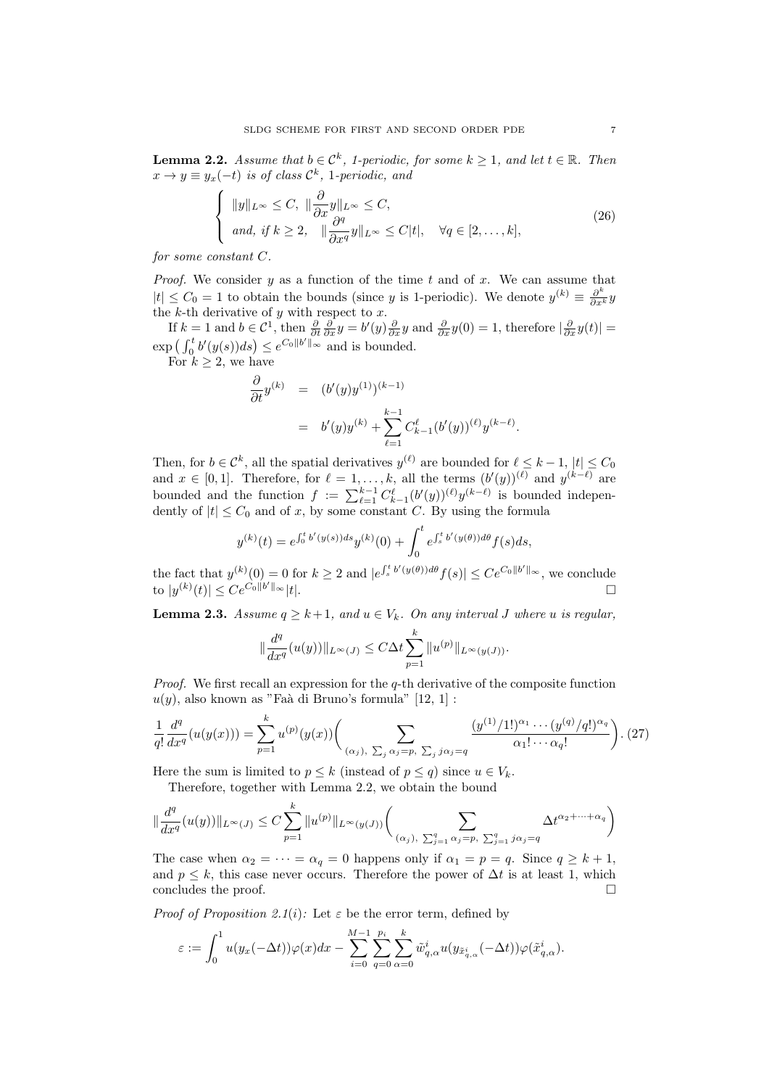**Lemma 2.2.** Assume that  $b \in \mathcal{C}^k$ , 1-periodic, for some  $k \geq 1$ , and let  $t \in \mathbb{R}$ . Then  $x \to y \equiv y_x(-t)$  is of class  $\mathcal{C}^k$ , 1-periodic, and

$$
\begin{cases} \|y\|_{L^{\infty}} \leq C, & \|\frac{\partial}{\partial x}y\|_{L^{\infty}} \leq C, \\ \text{and, if } k \geq 2, & \|\frac{\partial^{q}}{\partial x^{q}}y\|_{L^{\infty}} \leq C|t|, & \forall q \in [2, \dots, k], \end{cases} (26)
$$

for some constant C.

*Proof.* We consider  $y$  as a function of the time  $t$  and of  $x$ . We can assume that  $|t| \leq C_0 = 1$  to obtain the bounds (since y is 1-periodic). We denote  $y^{(k)} \equiv \frac{\partial^k}{\partial x^k} y$ the  $k$ -th derivative of  $y$  with respect to  $x$ .

If  $k = 1$  and  $b \in \mathcal{C}^1$ , then  $\frac{\partial}{\partial t} \frac{\partial}{\partial x} y = b'(y) \frac{\partial}{\partial x} y$  and  $\frac{\partial}{\partial x} y(0) = 1$ , therefore  $|\frac{\partial}{\partial x} y(t)| =$  $\exp\left(\int_0^t b'(y(s))ds\right) \leq e^{C_0||b'||_{\infty}}$  and is bounded.

For  $k \geq 2$ , we have

$$
\frac{\partial}{\partial t} y^{(k)} = (b'(y)y^{(1)})^{(k-1)} \n= b'(y)y^{(k)} + \sum_{\ell=1}^{k-1} C_{k-1}^{\ell} (b'(y))^{(\ell)} y^{(k-\ell)}.
$$

Then, for  $b \in \mathcal{C}^k$ , all the spatial derivatives  $y^{(\ell)}$  are bounded for  $\ell \leq k - 1$ ,  $|t| \leq C_0$ and  $x \in [0,1]$ . Therefore, for  $\ell = 1, \ldots, k$ , all the terms  $(b'(y))^{(\ell)}$  and  $y^{(k-\ell)}$  are bounded and the function  $f := \sum_{\ell=1}^{k-1} C_{k-1}^{\ell}(b'(y))^{(\ell)} y^{(k-\ell)}$  is bounded independently of  $|t| \leq C_0$  and of x, by some constant C. By using the formula

$$
y^{(k)}(t) = e^{\int_0^t b'(y(s))ds} y^{(k)}(0) + \int_0^t e^{\int_s^t b'(y(\theta))d\theta} f(s)ds,
$$

the fact that  $y^{(k)}(0) = 0$  for  $k \geq 2$  and  $|e^{\int_s^t b'(y(\theta)) d\theta} f(s)| \leq Ce^{C_0 ||b'||_{\infty}},$  we conclude to  $|y^{(k)}(t)| \leq Ce^{C_0||b}$  $\mathbb{Z}^{\prime\parallel\infty}|t|.$ 

**Lemma 2.3.** Assume  $q \geq k+1$ , and  $u \in V_k$ . On any interval J where u is regular,

$$
\|\frac{d^q}{dx^q}(u(y))\|_{L^{\infty}(J)} \le C\Delta t \sum_{p=1}^k \|u^{(p)}\|_{L^{\infty}(y(J))}.
$$

*Proof.* We first recall an expression for the  $q$ -th derivative of the composite function  $u(y)$ , also known as "Faà di Bruno's formula" [12, 1] :

$$
\frac{1}{q!} \frac{d^q}{dx^q} (u(y(x))) = \sum_{p=1}^k u^{(p)}(y(x)) \Biggl( \sum_{(\alpha_j), \ \sum_j \alpha_j = p, \ \sum_j j \alpha_j = q} \frac{(y^{(1)}/1!)^{\alpha_1} \cdots (y^{(q)}/q!)^{\alpha_q}}{\alpha_1! \cdots \alpha_q!} \Biggr). (27)
$$

Here the sum is limited to  $p \leq k$  (instead of  $p \leq q$ ) since  $u \in V_k$ .

Therefore, together with Lemma 2.2, we obtain the bound

 $\mathbf{r}$ 

$$
\|\frac{d^q}{dx^q}(u(y))\|_{L^{\infty}(J)} \le C \sum_{p=1}^k \|u^{(p)}\|_{L^{\infty}(y(J))} \bigg(\sum_{(\alpha_j), \sum_{j=1}^q \alpha_j = p, \sum_{j=1}^q j\alpha_j = q} \Delta t^{\alpha_2 + \dots + \alpha_q}\bigg)
$$

The case when  $\alpha_2 = \cdots = \alpha_q = 0$  happens only if  $\alpha_1 = p = q$ . Since  $q \geq k+1$ , and  $p \leq k$ , this case never occurs. Therefore the power of  $\Delta t$  is at least 1, which concludes the proof.

*Proof of Proposition 2.1(i):* Let  $\varepsilon$  be the error term, defined by

$$
\varepsilon:=\int_0^1 u(y_x(-\Delta t))\varphi(x)dx-\sum_{i=0}^{M-1}\sum_{q=0}^{p_i}\sum_{\alpha=0}^k \tilde{w}_{q,\alpha}^i u(y_{\tilde{x}_{q,\alpha}^i}(-\Delta t))\varphi(\tilde{x}_{q,\alpha}^i).
$$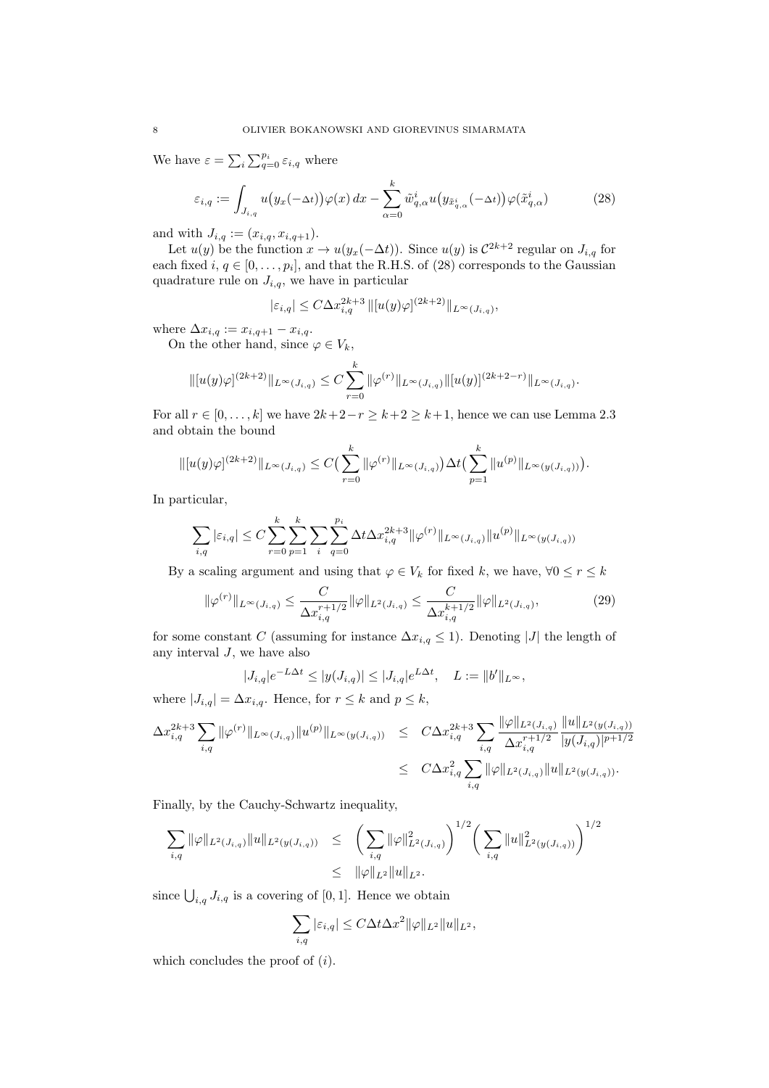We have  $\varepsilon = \sum_i \sum_{q=0}^{p_i} \varepsilon_{i,q}$  where

$$
\varepsilon_{i,q} := \int_{J_{i,q}} u\big(y_x(-\Delta t)\big)\varphi(x)\,dx - \sum_{\alpha=0}^k \tilde{w}_{q,\alpha}^i u\big(y_{\tilde{x}_{q,\alpha}^i}(-\Delta t)\big)\varphi(\tilde{x}_{q,\alpha}^i) \tag{28}
$$

and with  $J_{i,q} := (x_{i,q}, x_{i,q+1}).$ 

Let  $u(y)$  be the function  $x \to u(y_x(-\Delta t))$ . Since  $u(y)$  is  $C^{2k+2}$  regular on  $J_{i,q}$  for each fixed  $i, q \in [0, \ldots, p_i]$ , and that the R.H.S. of (28) corresponds to the Gaussian quadrature rule on  $J_{i,q}$ , we have in particular

$$
|\varepsilon_{i,q}| \le C\Delta x_{i,q}^{2k+3} \, ||[u(y)\varphi]^{(2k+2)}||_{L^{\infty}(J_{i,q})},
$$

where  $\Delta x_{i,q} := x_{i,q+1} - x_{i,q}$ .

On the other hand, since  $\varphi \in V_k$ ,

$$
\| [u(y)\varphi]^{(2k+2)} \|_{L^{\infty}(J_{i,q})} \leq C \sum_{r=0}^{k} \| \varphi^{(r)} \|_{L^{\infty}(J_{i,q})} \| [u(y)]^{(2k+2-r)} \|_{L^{\infty}(J_{i,q})}.
$$

For all  $r \in [0, \ldots, k]$  we have  $2k+2-r \geq k+2 \geq k+1$ , hence we can use Lemma 2.3 and obtain the bound

$$
\| [u(y)\varphi]^{(2k+2)} \|_{L^{\infty}(J_{i,q})} \leq C \Big( \sum_{r=0}^{k} \| \varphi^{(r)} \|_{L^{\infty}(J_{i,q})} \Big) \Delta t \Big( \sum_{p=1}^{k} \| u^{(p)} \|_{L^{\infty}(y(J_{i,q}))} \Big).
$$

In particular,

$$
\sum_{i,q} |\varepsilon_{i,q}| \le C \sum_{r=0}^k \sum_{p=1}^k \sum_{i} \sum_{q=0}^{p_i} \Delta t \Delta x_{i,q}^{2k+3} ||\varphi^{(r)}||_{L^\infty(J_{i,q})} ||u^{(p)}||_{L^\infty(y(J_{i,q}))}
$$

By a scaling argument and using that  $\varphi \in V_k$  for fixed k, we have,  $\forall 0 \leq r \leq k$ 

$$
\|\varphi^{(r)}\|_{L^{\infty}(J_{i,q})} \leq \frac{C}{\Delta x_{i,q}^{r+1/2}} \|\varphi\|_{L^{2}(J_{i,q})} \leq \frac{C}{\Delta x_{i,q}^{k+1/2}} \|\varphi\|_{L^{2}(J_{i,q})},
$$
(29)

for some constant C (assuming for instance  $\Delta x_{i,q} \leq 1$ ). Denoting |J| the length of any interval  $J$ , we have also

$$
|J_{i,q}|e^{-L\Delta t} \le |y(J_{i,q})| \le |J_{i,q}|e^{L\Delta t}, \quad L := \|b'\|_{L^{\infty}},
$$

where  $|J_{i,q}| = \Delta x_{i,q}$ . Hence, for  $r \leq k$  and  $p \leq k$ ,

$$
\Delta x_{i,q}^{2k+3} \sum_{i,q} \|\varphi^{(r)}\|_{L^{\infty}(J_{i,q})} \|u^{(p)}\|_{L^{\infty}(y(J_{i,q}))} \leq C \Delta x_{i,q}^{2k+3} \sum_{i,q} \frac{\|\varphi\|_{L^{2}(J_{i,q})}}{\Delta x_{i,q}^{r+1/2}} \frac{\|u\|_{L^{2}(y(J_{i,q}))}}{|y(J_{i,q})|^{p+1/2}} \\ \leq C \Delta x_{i,q}^{2} \sum_{i,q} \|\varphi\|_{L^{2}(J_{i,q})} \|u\|_{L^{2}(y(J_{i,q}))}.
$$

Finally, by the Cauchy-Schwartz inequality,

$$
\sum_{i,q} \|\varphi\|_{L^2(J_{i,q})} \|u\|_{L^2(y(J_{i,q}))} \leq \left(\sum_{i,q} \|\varphi\|_{L^2(J_{i,q})}^2\right)^{1/2} \left(\sum_{i,q} \|u\|_{L^2(y(J_{i,q}))}^2\right)^{1/2}
$$
  

$$
\leq \|\varphi\|_{L^2} \|u\|_{L^2}.
$$

since  $\bigcup_{i,q} J_{i,q}$  is a covering of [0, 1]. Hence we obtain

$$
\sum_{i,q} |\varepsilon_{i,q}| \le C\Delta t \Delta x^2 ||\varphi||_{L^2} ||u||_{L^2},
$$

which concludes the proof of  $(i)$ .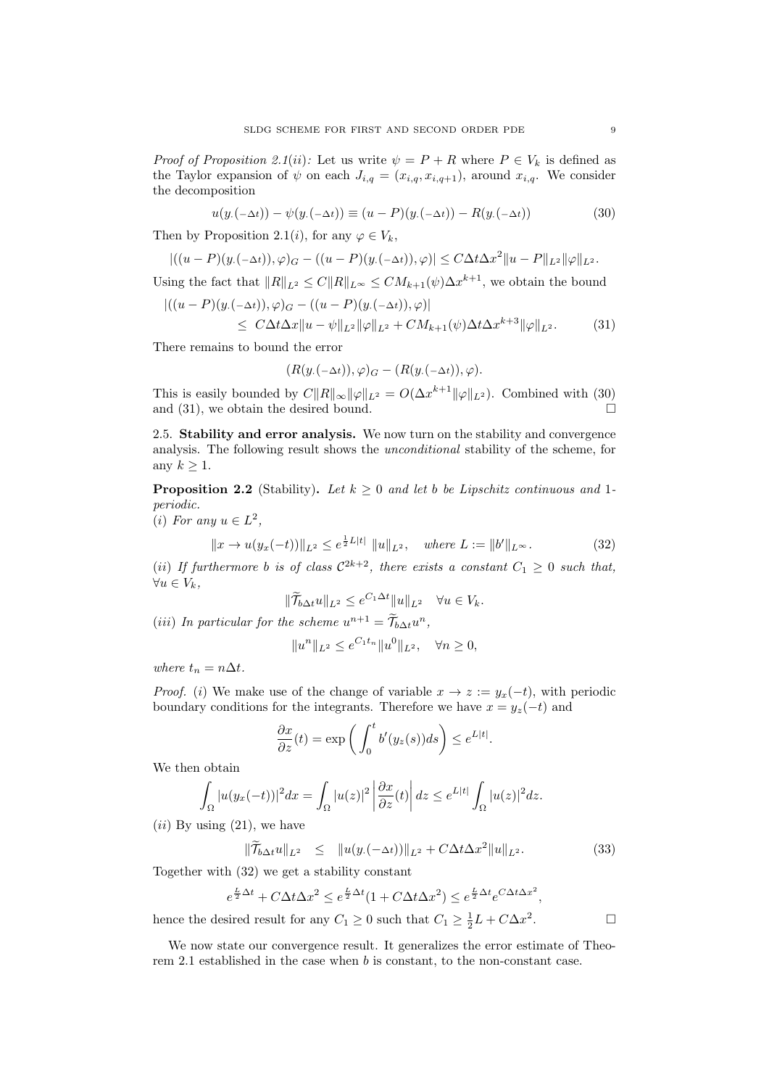*Proof of Proposition 2.1(ii)*: Let us write  $\psi = P + R$  where  $P \in V_k$  is defined as the Taylor expansion of  $\psi$  on each  $J_{i,q} = (x_{i,q}, x_{i,q+1})$ , around  $x_{i,q}$ . We consider the decomposition

$$
u(y.(-\Delta t)) - \psi(y.(-\Delta t)) \equiv (u - P)(y.(-\Delta t)) - R(y.(-\Delta t))
$$
\n(30)

Then by Proposition 2.1(*i*), for any  $\varphi \in V_k$ ,

$$
|((u-P)(y.(-\Delta t)),\varphi)_G-((u-P)(y.(-\Delta t)),\varphi)|\leq C\Delta t\Delta x^2||u-P||_{L^2}||\varphi||_{L^2}.
$$

Using the fact that  $||R||_{L^2} \leq C ||R||_{L^{\infty}} \leq C M_{k+1}(\psi) \Delta x^{k+1}$ , we obtain the bound

$$
|((u - P)(y.(-\Delta t)), \varphi)_{G} - ((u - P)(y.(-\Delta t)), \varphi)|
$$
  
\$\leq C\Delta t \Delta x \|u - \psi\|\_{L^{2}} \|\varphi\|\_{L^{2}} + C M\_{k+1}(\psi) \Delta t \Delta x^{k+3} \|\varphi\|\_{L^{2}}. (31)

There remains to bound the error

$$
(R(y.(-\Delta t)), \varphi)_G - (R(y.(-\Delta t)), \varphi).
$$

This is easily bounded by  $C||R||_{\infty} ||\varphi||_{L^2} = O(\Delta x^{k+1} ||\varphi||_{L^2})$ . Combined with (30) and (31), we obtain the desired bound.  $\square$ 

2.5. Stability and error analysis. We now turn on the stability and convergence analysis. The following result shows the unconditional stability of the scheme, for any  $k \geq 1$ .

**Proposition 2.2** (Stability). Let  $k \geq 0$  and let b be Lipschitz continuous and 1periodic.

(*i*) For any  $u \in L^2$ ,

$$
||x \to u(y_x(-t))||_{L^2} \le e^{\frac{1}{2}L|t|} ||u||_{L^2}, \quad \text{where } L := ||b'||_{L^\infty}.
$$
 (32)

(ii) If furthermore b is of class  $C^{2k+2}$ , there exists a constant  $C_1 \geq 0$  such that,  $\forall u \in V_k,$ 

$$
\|\widetilde{\mathcal{T}}_{b\Delta t}u\|_{L^2}\leq e^{C_1\Delta t}\|u\|_{L^2}\quad\forall u\in V_k.
$$

 $1 - 1$ 

(*iii*) In particular for the scheme  $u^{n+1} = \widetilde{\mathcal{T}}_{b\Delta t}u^n$ ,

$$
||u^n||_{L^2} \le e^{C_1 t_n} ||u^0||_{L^2}, \quad \forall n \ge 0,
$$

where  $t_n = n\Delta t$ .

*Proof.* (i) We make use of the change of variable  $x \to z := y_x(-t)$ , with periodic boundary conditions for the integrants. Therefore we have  $x = y_z(-t)$  and

$$
\frac{\partial x}{\partial z}(t) = \exp\left(\int_0^t b'(y_z(s))ds\right) \le e^{L|t|}.
$$

We then obtain

$$
\int_{\Omega} |u(y_x(-t))|^2 dx = \int_{\Omega} |u(z)|^2 \left| \frac{\partial x}{\partial z}(t) \right| dz \leq e^{L|t|} \int_{\Omega} |u(z)|^2 dz.
$$

 $(ii)$  By using  $(21)$ , we have

$$
\|\widetilde{\mathcal{T}}_{b\Delta t}u\|_{L^{2}} \leq \|u(y.(-\Delta t))\|_{L^{2}} + C\Delta t \Delta x^{2}\|u\|_{L^{2}}.
$$
\n(33)

Together with (32) we get a stability constant

$$
e^{\frac{L}{2}\Delta t} + C\Delta t \Delta x^2 \le e^{\frac{L}{2}\Delta t} (1 + C\Delta t \Delta x^2) \le e^{\frac{L}{2}\Delta t} e^{C\Delta t \Delta x^2},
$$

hence the desired result for any  $C_1 \geq 0$  such that  $C_1 \geq \frac{1}{2}L + C\Delta x^2$ 

We now state our convergence result. It generalizes the error estimate of Theorem 2.1 established in the case when b is constant, to the non-constant case.

 $\Box$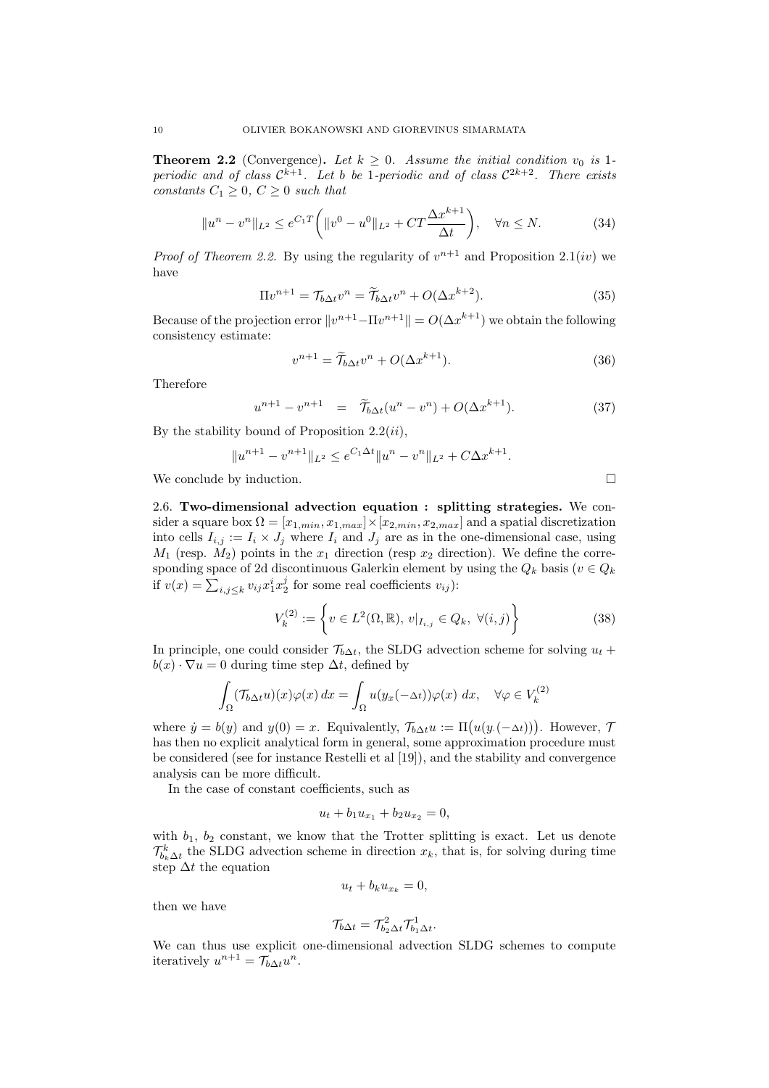**Theorem 2.2** (Convergence). Let  $k \geq 0$ . Assume the initial condition  $v_0$  is 1periodic and of class  $\mathcal{C}^{k+1}$ . Let b be 1-periodic and of class  $\mathcal{C}^{2k+2}$ . There exists constants  $C_1 \geq 0$ ,  $C \geq 0$  such that

$$
||u^n - v^n||_{L^2} \le e^{C_1 T} \left( ||v^0 - u^0||_{L^2} + CT \frac{\Delta x^{k+1}}{\Delta t} \right), \quad \forall n \le N. \tag{34}
$$

*Proof of Theorem 2.2.* By using the regularity of  $v^{n+1}$  and Proposition 2.1(*iv*) we have

$$
\Pi v^{n+1} = \mathcal{T}_{b\Delta t} v^n = \widetilde{\mathcal{T}}_{b\Delta t} v^n + O(\Delta x^{k+2}).\tag{35}
$$

Because of the projection error  $||v^{n+1}-\Pi v^{n+1}|| = O(\Delta x^{k+1})$  we obtain the following consistency estimate:

$$
v^{n+1} = \widetilde{T}_{b\Delta t}v^n + O(\Delta x^{k+1}).
$$
\n(36)

Therefore

$$
u^{n+1} - v^{n+1} = \tilde{\mathcal{T}}_{b\Delta t}(u^n - v^n) + O(\Delta x^{k+1}). \tag{37}
$$

By the stability bound of Proposition  $2.2(ii)$ ,

$$
||u^{n+1} - v^{n+1}||_{L^2} \le e^{C_1 \Delta t} ||u^n - v^n||_{L^2} + C \Delta x^{k+1}.
$$

We conclude by induction.

2.6. Two-dimensional advection equation : splitting strategies. We consider a square box  $\Omega = [x_{1,min}, x_{1,max}] \times [x_{2,min}, x_{2,max}]$  and a spatial discretization into cells  $I_{i,j} := I_i \times J_j$  where  $I_i$  and  $J_j$  are as in the one-dimensional case, using  $M_1$  (resp.  $M_2$ ) points in the  $x_1$  direction (resp  $x_2$  direction). We define the corresponding space of 2d discontinuous Galerkin element by using the  $Q_k$  basis ( $v \in Q_k$ ) if  $v(x) = \sum_{i,j \leq k} v_{ij} x_1^i x_2^j$  for some real coefficients  $v_{ij}$ ):

$$
V_k^{(2)} := \left\{ v \in L^2(\Omega, \mathbb{R}), \, v|_{I_{i,j}} \in Q_k, \, \forall (i, j) \right\}
$$
 (38)

In principle, one could consider  $\mathcal{T}_{b\Delta t}$ , the SLDG advection scheme for solving  $u_t$  +  $b(x) \cdot \nabla u = 0$  during time step  $\Delta t$ , defined by

$$
\int_{\Omega} (\mathcal{T}_{b\Delta t} u)(x)\varphi(x) dx = \int_{\Omega} u(y_x(-\Delta t))\varphi(x) dx, \quad \forall \varphi \in V_k^{(2)}
$$

where  $\dot{y} = b(y)$  and  $y(0) = x$ . Equivalently,  $\mathcal{T}_{b\Delta t}u := \Pi(u(y.(-\Delta t)))$ . However,  $\mathcal{T}_{b\Delta t}u = u$ . has then no explicit analytical form in general, some approximation procedure must be considered (see for instance Restelli et al [19]), and the stability and convergence analysis can be more difficult.

In the case of constant coefficients, such as

$$
u_t + b_1 u_{x_1} + b_2 u_{x_2} = 0,
$$

with  $b_1$ ,  $b_2$  constant, we know that the Trotter splitting is exact. Let us denote  $\mathcal{T}_{b_k\Delta t}^k$  the SLDG advection scheme in direction  $x_k$ , that is, for solving during time step  $\Delta t$  the equation

$$
u_t + b_k u_{x_k} = 0,
$$

then we have

$$
\mathcal{T}_{b\Delta t} = \mathcal{T}_{b_2\Delta t}^2 \mathcal{T}_{b_1\Delta t}^1.
$$

We can thus use explicit one-dimensional advection SLDG schemes to compute iteratively  $u^{n+1} = \mathcal{T}_{b\Delta t}u^n$ .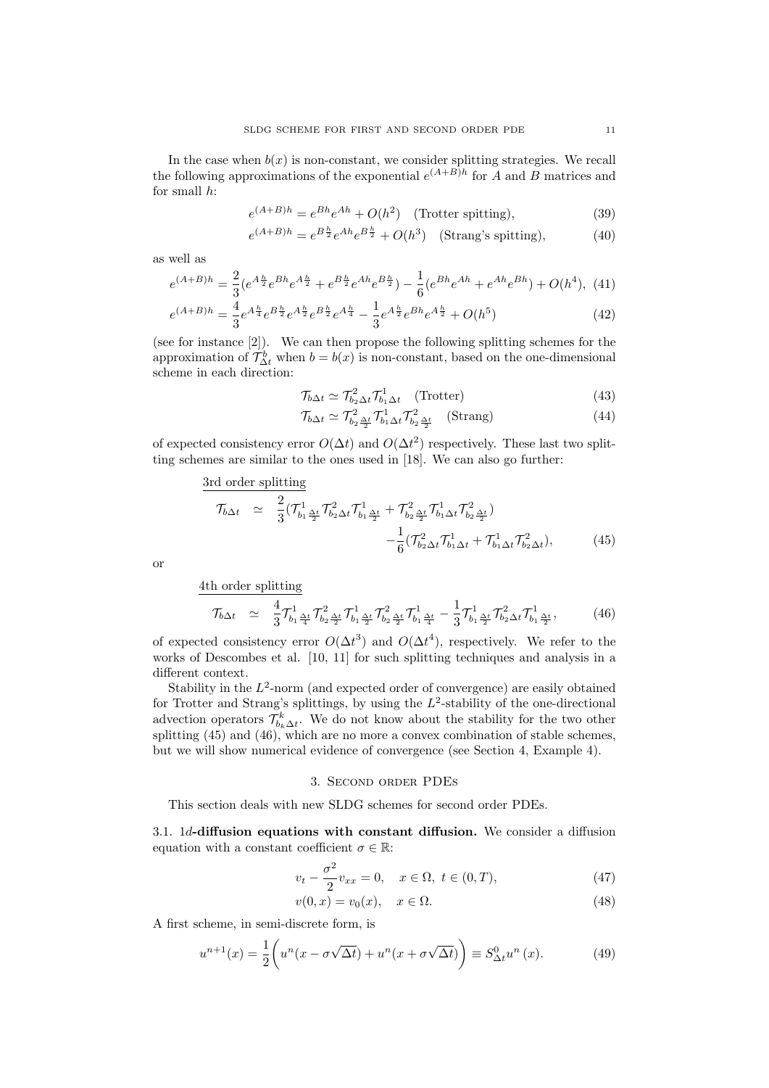In the case when  $b(x)$  is non-constant, we consider splitting strategies. We recall the following approximations of the exponential  $e^{(A+B)h}$  for A and B matrices and for small h:

$$
e^{(A+B)h} = e^{Bh}e^{Ah} + O(h^2) \quad \text{(Trotter splitting)},\tag{39}
$$

$$
e^{(A+B)h} = e^{B\frac{h}{2}}e^{Ah}e^{B\frac{h}{2}} + O(h^3) \quad \text{(Strang's splitting)},\tag{40}
$$

as well as

$$
e^{(A+B)h} = \frac{2}{3} (e^{A\frac{h}{2}} e^{Bh} e^{A\frac{h}{2}} + e^{B\frac{h}{2}} e^{Ah} e^{B\frac{h}{2}}) - \frac{1}{6} (e^{Bh} e^{Ah} + e^{Ah} e^{Bh}) + O(h^4),
$$
(41)

$$
e^{(A+B)h} = \frac{4}{3}e^{A\frac{h}{4}}e^{B\frac{h}{2}}e^{A\frac{h}{2}}e^{B\frac{h}{2}}e^{A\frac{h}{4}} - \frac{1}{3}e^{A\frac{h}{2}}e^{Bh}e^{A\frac{h}{2}} + O(h^5)
$$
 (42)

(see for instance [2]). We can then propose the following splitting schemes for the approximation of  $\mathcal{T}_{\Delta t}^b$  when  $b = b(x)$  is non-constant, based on the one-dimensional scheme in each direction:

$$
\mathcal{T}_{b\Delta t} \simeq \mathcal{T}_{b_2 \Delta t}^2 \mathcal{T}_{b_1 \Delta t}^1 \quad \text{(Trotter)} \tag{43}
$$

$$
\mathcal{T}_{b\Delta t} \simeq \mathcal{T}_{b_2 \frac{\Delta t}{2}}^2 \mathcal{T}_{b_1 \Delta t}^1 \mathcal{T}_{b_2 \frac{\Delta t}{2}}^2 \quad \text{(Strang)} \tag{44}
$$

of expected consistency error  $O(\Delta t)$  and  $O(\Delta t^2)$  respectively. These last two splitting schemes are similar to the ones used in [18]. We can also go further:

$$
\frac{3r d \text{ order splitting}}{\mathcal{T}_{b\Delta t}} \simeq \frac{2}{3} (\mathcal{T}_{b_1 \frac{\Delta t}{2}}^1 \mathcal{T}_{b_2 \Delta t}^2 \mathcal{T}_{b_1 \frac{\Delta t}{2}}^1 + \mathcal{T}_{b_2 \frac{\Delta t}{2}}^2 \mathcal{T}_{b_1 \Delta t}^1 \mathcal{T}_{b_2 \frac{\Delta t}{2}}^2) - \frac{1}{6} (\mathcal{T}_{b_2 \Delta t}^2 \mathcal{T}_{b_1 \Delta t}^1 + \mathcal{T}_{b_1 \Delta t}^1 \mathcal{T}_{b_2 \Delta t}^2), \tag{45}
$$

or

4th order splitting

$$
\mathcal{T}_{b\Delta t} \simeq \frac{4}{3} \mathcal{T}_{b_1 \frac{\Delta t}{4}}^1 \mathcal{T}_{b_2 \frac{\Delta t}{2}}^2 \mathcal{T}_{b_1 \frac{\Delta t}{2}}^1 \mathcal{T}_{b_2 \frac{\Delta t}{2}}^2 \mathcal{T}_{b_1 \frac{\Delta t}{4}}^1 - \frac{1}{3} \mathcal{T}_{b_1 \frac{\Delta t}{2}}^1 \mathcal{T}_{b_2 \Delta t}^2 \mathcal{T}_{b_1 \frac{\Delta t}{2}}^1, \tag{46}
$$

of expected consistency error  $O(\Delta t^3)$  and  $O(\Delta t^4)$ , respectively. We refer to the works of Descombes et al. [10, 11] for such splitting techniques and analysis in a different context.

Stability in the  $L^2$ -norm (and expected order of convergence) are easily obtained for Trotter and Strang's splittings, by using the  $L^2$ -stability of the one-directional advection operators  $\mathcal{T}_{b_k\Delta t}^k$ . We do not know about the stability for the two other splitting (45) and (46), which are no more a convex combination of stable schemes, but we will show numerical evidence of convergence (see Section 4, Example 4).

## 3. Second order PDEs

This section deals with new SLDG schemes for second order PDEs.

3.1. 1d-diffusion equations with constant diffusion. We consider a diffusion equation with a constant coefficient  $\sigma \in \mathbb{R}$ :

$$
v_t - \frac{\sigma^2}{2} v_{xx} = 0, \quad x \in \Omega, \ t \in (0, T), \tag{47}
$$

$$
v(0,x) = v_0(x), \quad x \in \Omega.
$$
\n
$$
(48)
$$

A first scheme, in semi-discrete form, is

$$
u^{n+1}(x) = \frac{1}{2} \left( u^n(x - \sigma \sqrt{\Delta t}) + u^n(x + \sigma \sqrt{\Delta t}) \right) \equiv S^0_{\Delta t} u^n(x). \tag{49}
$$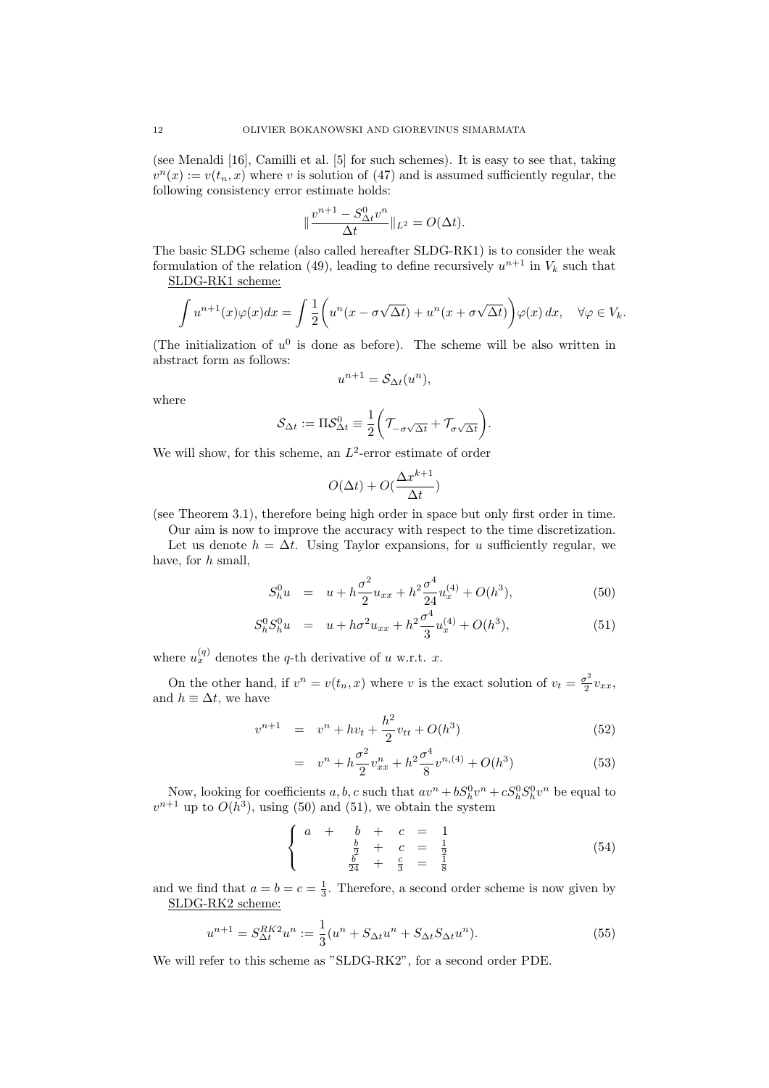(see Menaldi [16], Camilli et al. [5] for such schemes). It is easy to see that, taking  $v^{n}(x) := v(t_{n}, x)$  where v is solution of (47) and is assumed sufficiently regular, the following consistency error estimate holds:

$$
\|\frac{v^{n+1}-S^0_{\Delta t}v^n}{\Delta t}\|_{L^2}=O(\Delta t).
$$

The basic SLDG scheme (also called hereafter SLDG-RK1) is to consider the weak formulation of the relation (49), leading to define recursively  $u^{n+1}$  in  $V_k$  such that SLDG-RK1 scheme:

$$
\int u^{n+1}(x)\varphi(x)dx = \int \frac{1}{2}\left(u^n(x-\sigma\sqrt{\Delta t}) + u^n(x+\sigma\sqrt{\Delta t})\right)\varphi(x) dx, \quad \forall \varphi \in V_k.
$$

(The initialization of  $u^0$  is done as before). The scheme will be also written in abstract form as follows:

$$
u^{n+1} = \mathcal{S}_{\Delta t}(u^n),
$$

where

$$
\mathcal{S}_{\Delta t} := \Pi \mathcal{S}_{\Delta t}^0 \equiv \frac{1}{2} \bigg( \mathcal{T}_{-\sigma\sqrt{\Delta t}} + \mathcal{T}_{\sigma\sqrt{\Delta t}} \bigg).
$$

We will show, for this scheme, an  $L^2$ -error estimate of order

$$
O(\Delta t) + O(\frac{\Delta x^{k+1}}{\Delta t})
$$

(see Theorem 3.1), therefore being high order in space but only first order in time.

Our aim is now to improve the accuracy with respect to the time discretization. Let us denote  $h = \Delta t$ . Using Taylor expansions, for u sufficiently regular, we have, for h small,

$$
S_h^0 u = u + h \frac{\sigma^2}{2} u_{xx} + h^2 \frac{\sigma^4}{24} u_x^{(4)} + O(h^3), \tag{50}
$$

$$
S_h^0 S_h^0 u = u + h\sigma^2 u_{xx} + h^2 \frac{\sigma^4}{3} u_x^{(4)} + O(h^3), \tag{51}
$$

where  $u_x^{(q)}$  denotes the q-th derivative of u w.r.t. x.

On the other hand, if  $v^n = v(t_n, x)$  where v is the exact solution of  $v_t = \frac{\sigma^2}{2}$  $rac{\sigma^2}{2}v_{xx},$ and  $h \equiv \Delta t$ , we have

$$
v^{n+1} = v^n + hv_t + \frac{h^2}{2}v_{tt} + O(h^3)
$$
\n(52)

$$
= v^{n} + h \frac{\sigma^{2}}{2} v_{xx}^{n} + h^{2} \frac{\sigma^{4}}{8} v^{n,(4)} + O(h^{3})
$$
\n(53)

Now, looking for coefficients a, b, c such that  $av^n + bS_h^0v^n + cS_h^0S_h^0v^n$  be equal to  $v^{n+1}$  up to  $O(h^3)$ , using (50) and (51), we obtain the system

$$
\begin{cases}\n a + b + c &= 1 \\
 \frac{b}{2} + c &= \frac{1}{2} \\
 \frac{b}{24} + \frac{c}{3} &= \frac{1}{8}\n\end{cases}
$$
\n(54)

and we find that  $a = b = c = \frac{1}{3}$ . Therefore, a second order scheme is now given by SLDG-RK2 scheme:

$$
u^{n+1} = S_{\Delta t}^{RK2} u^n := \frac{1}{3} (u^n + S_{\Delta t} u^n + S_{\Delta t} S_{\Delta t} u^n).
$$
 (55)

We will refer to this scheme as "SLDG-RK2", for a second order PDE.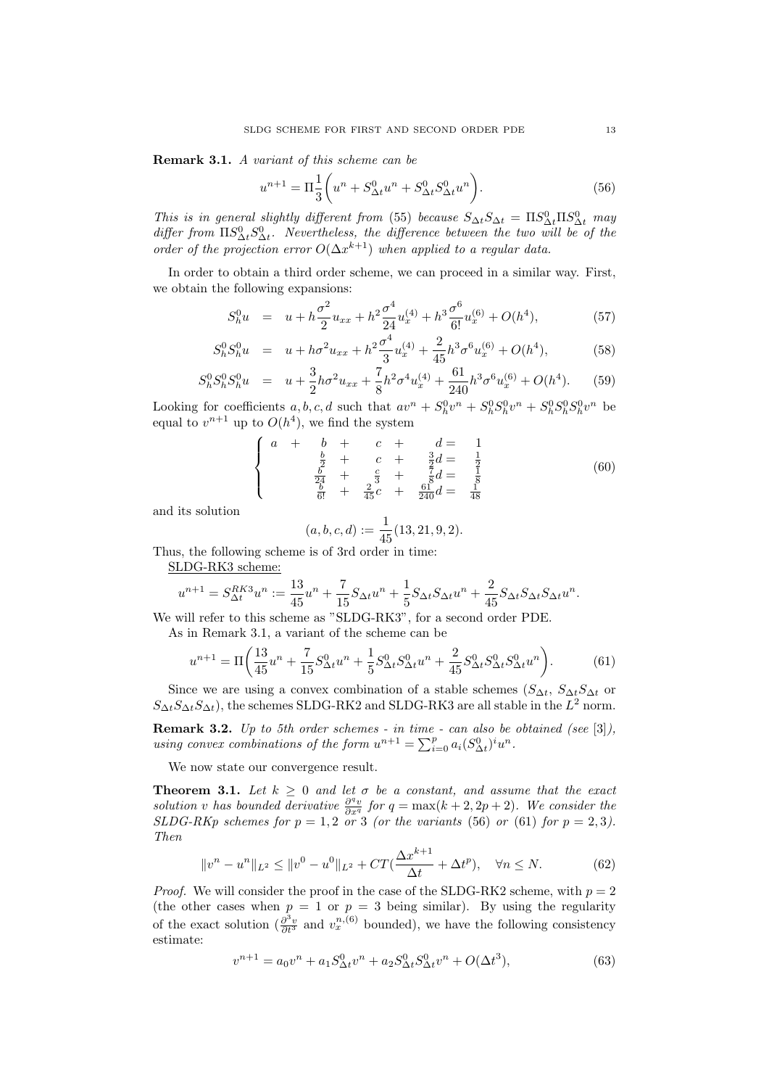Remark 3.1. A variant of this scheme can be

$$
u^{n+1} = \Pi \frac{1}{3} \left( u^n + S^0_{\Delta t} u^n + S^0_{\Delta t} S^0_{\Delta t} u^n \right).
$$
 (56)

This is in general slightly different from (55) because  $S_{\Delta t}S_{\Delta t} = \Pi S_{\Delta t}^0 \Pi S_{\Delta t}^0$  may differ from  $\Pi S^0_{\Delta t} S^0_{\Delta t}$ . Nevertheless, the difference between the two will be of the order of the projection error  $O(\Delta x^{k+1})$  when applied to a regular data.

In order to obtain a third order scheme, we can proceed in a similar way. First, we obtain the following expansions:

$$
S_h^0 u = u + h \frac{\sigma^2}{2} u_{xx} + h^2 \frac{\sigma^4}{24} u_x^{(4)} + h^3 \frac{\sigma^6}{6!} u_x^{(6)} + O(h^4), \tag{57}
$$

$$
S_h^0 S_h^0 u = u + h\sigma^2 u_{xx} + h^2 \frac{\sigma^4}{3} u_x^{(4)} + \frac{2}{45} h^3 \sigma^6 u_x^{(6)} + O(h^4), \tag{58}
$$

$$
S_h^0 S_h^0 S_h^0 u = u + \frac{3}{2} h \sigma^2 u_{xx} + \frac{7}{8} h^2 \sigma^4 u_x^{(4)} + \frac{61}{240} h^3 \sigma^6 u_x^{(6)} + O(h^4). \tag{59}
$$

Looking for coefficients  $a, b, c, d$  such that  $av^n + S_h^0 v^n + S_h^0 S_h^0 v^n + S_h^0 S_h^0 S_h^0 v^n$  be equal to  $v^{n+1}$  up to  $O(h^4)$ , we find the system

$$
\begin{cases}\n a + b + c + d = 1 \\
 \frac{b}{2} + c + \frac{3}{2}d = \frac{1}{2} \\
 \frac{b}{24} + \frac{c}{3} + \frac{7}{8}d = \frac{1}{8} \\
 \frac{b}{6!} + \frac{2}{45}c + \frac{61}{240}d = \frac{1}{48}\n\end{cases}
$$
\n(60)

and its solution

$$
(a, b, c, d) := \frac{1}{45}(13, 21, 9, 2).
$$

Thus, the following scheme is of 3rd order in time:

SLDG-RK3 scheme:

$$
u^{n+1} = S_{\Delta t}^{RK3} u^n := \frac{13}{45} u^n + \frac{7}{15} S_{\Delta t} u^n + \frac{1}{5} S_{\Delta t} S_{\Delta t} u^n + \frac{2}{45} S_{\Delta t} S_{\Delta t} S_{\Delta t} u^n.
$$

We will refer to this scheme as "SLDG-RK3", for a second order PDE.

As in Remark 3.1, a variant of the scheme can be

$$
u^{n+1} = \Pi \left( \frac{13}{45} u^n + \frac{7}{15} S^0_{\Delta t} u^n + \frac{1}{5} S^0_{\Delta t} S^0_{\Delta t} u^n + \frac{2}{45} S^0_{\Delta t} S^0_{\Delta t} S^0_{\Delta t} u^n \right).
$$
 (61)

Since we are using a convex combination of a stable schemes  $(S_{\Delta t}, S_{\Delta t}S_{\Delta t})$  or  $S_{\Delta t} S_{\Delta t} S_{\Delta t}$ , the schemes SLDG-RK2 and SLDG-RK3 are all stable in the  $L^2$  norm.

**Remark 3.2.** Up to 5th order schemes - in time - can also be obtained (see  $[3]$ ), using convex combinations of the form  $u^{n+1} = \sum_{i=0}^{p} a_i (S^0_{\Delta t})^i u^n$ .

We now state our convergence result.

**Theorem 3.1.** Let  $k \geq 0$  and let  $\sigma$  be a constant, and assume that the exact solution v has bounded derivative  $\frac{\partial^q v}{\partial x^q}$  for  $q = \max(k+2, 2p+2)$ . We consider the SLDG-RKp schemes for  $p = 1, 2$  or 3 (or the variants (56) or (61) for  $p = 2, 3$ ). Then

$$
||v^n - u^n||_{L^2} \le ||v^0 - u^0||_{L^2} + CT(\frac{\Delta x^{k+1}}{\Delta t} + \Delta t^p), \quad \forall n \le N.
$$
 (62)

*Proof.* We will consider the proof in the case of the SLDG-RK2 scheme, with  $p = 2$ (the other cases when  $p = 1$  or  $p = 3$  being similar). By using the regularity of the exact solution  $\left(\frac{\partial^3 v}{\partial t^3}\right)$  and  $v_x^{n,(6)}$  bounded), we have the following consistency estimate:

$$
v^{n+1} = a_0 v^n + a_1 S_{\Delta t}^0 v^n + a_2 S_{\Delta t}^0 S_{\Delta t}^0 v^n + O(\Delta t^3),\tag{63}
$$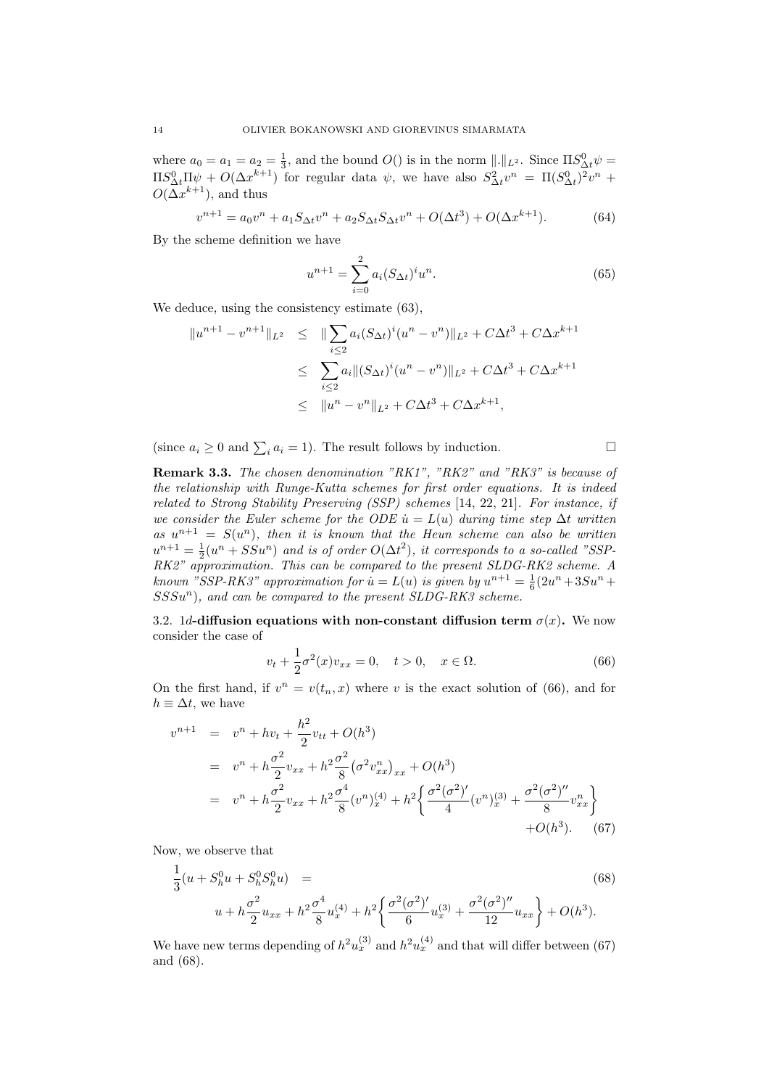where  $a_0 = a_1 = a_2 = \frac{1}{3}$ , and the bound  $O()$  is in the norm  $||.||_{L^2}$ . Since  $\Pi S^0_{\Delta t} \psi =$  $\Pi S^0_{\Delta t} \Pi \psi + O(\Delta x^{k+1})$  for regular data  $\psi$ , we have also  $S^2_{\Delta t} v^n = \Pi (S^0_{\Delta t})^2 v^n$  +  $O(\Delta x^{k+1})$ , and thus

$$
v^{n+1} = a_0 v^n + a_1 S_{\Delta t} v^n + a_2 S_{\Delta t} S_{\Delta t} v^n + O(\Delta t^3) + O(\Delta x^{k+1}).
$$
 (64)

By the scheme definition we have

$$
u^{n+1} = \sum_{i=0}^{2} a_i (S_{\Delta t})^i u^n.
$$
 (65)

We deduce, using the consistency estimate  $(63)$ .

$$
||u^{n+1} - v^{n+1}||_{L^2} \le ||\sum_{i \le 2} a_i (S_{\Delta t})^i (u^n - v^n)||_{L^2} + C\Delta t^3 + C\Delta x^{k+1}
$$
  

$$
\le \sum_{i \le 2} a_i ||(S_{\Delta t})^i (u^n - v^n)||_{L^2} + C\Delta t^3 + C\Delta x^{k+1}
$$
  

$$
\le ||u^n - v^n||_{L^2} + C\Delta t^3 + C\Delta x^{k+1},
$$

(since  $a_i \geq 0$  and  $\sum_i a_i = 1$ ). The result follows by induction.

Remark 3.3. The chosen denomination "RK1", "RK2" and "RK3" is because of the relationship with Runge-Kutta schemes for first order equations. It is indeed related to Strong Stability Preserving (SSP) schemes [14, 22, 21]. For instance, if we consider the Euler scheme for the ODE  $\dot{u} = L(u)$  during time step  $\Delta t$  written as  $u^{n+1} = S(u^n)$ , then it is known that the Heun scheme can also be written  $u^{n+1} = \frac{1}{2}(u^n + SSu^n)$  and is of order  $O(\Delta t^2)$ , it corresponds to a so-called "SSP-RK2" approximation. This can be compared to the present SLDG-RK2 scheme. A known "SSP-RK3" approximation for  $\dot{u} = L(u)$  is given by  $u^{n+1} = \frac{1}{6}(2u^n + 3Su^n +$  $SSSu<sup>n</sup>$ ), and can be compared to the present  $SLDG-RK3$  scheme.

3.2. 1d-diffusion equations with non-constant diffusion term  $\sigma(x)$ . We now consider the case of

$$
v_t + \frac{1}{2}\sigma^2(x)v_{xx} = 0, \quad t > 0, \quad x \in \Omega.
$$
 (66)

On the first hand, if  $v^n = v(t_n, x)$  where v is the exact solution of (66), and for  $h \equiv \Delta t$ , we have

$$
v^{n+1} = v^n + hv_t + \frac{h^2}{2}v_{tt} + O(h^3)
$$
  
=  $v^n + h\frac{\sigma^2}{2}v_{xx} + h^2\frac{\sigma^2}{8}(\sigma^2 v_{xx}^n)_{xx} + O(h^3)$   
=  $v^n + h\frac{\sigma^2}{2}v_{xx} + h^2\frac{\sigma^4}{8}(v^n)_x^{(4)} + h^2\left{\frac{\sigma^2(\sigma^2)'}{4}(v^n)_x^{(3)} + \frac{\sigma^2(\sigma^2)''}{8}v_{xx}^n\right\}$   
+  $O(h^3)$ . (67)

Now, we observe that

$$
\frac{1}{3}(u + S_h^0 u + S_h^0 S_h^0 u) =
$$
\n
$$
u + h\frac{\sigma^2}{2}u_{xx} + h^2 \frac{\sigma^4}{8}u_x^{(4)} + h^2 \left\{ \frac{\sigma^2(\sigma^2)'}{6}u_x^{(3)} + \frac{\sigma^2(\sigma^2)''}{12}u_{xx} \right\} + O(h^3).
$$
\n(68)

We have new terms depending of  $h^2 u_x^{(3)}$  and  $h^2 u_x^{(4)}$  and that will differ between (67) and (68).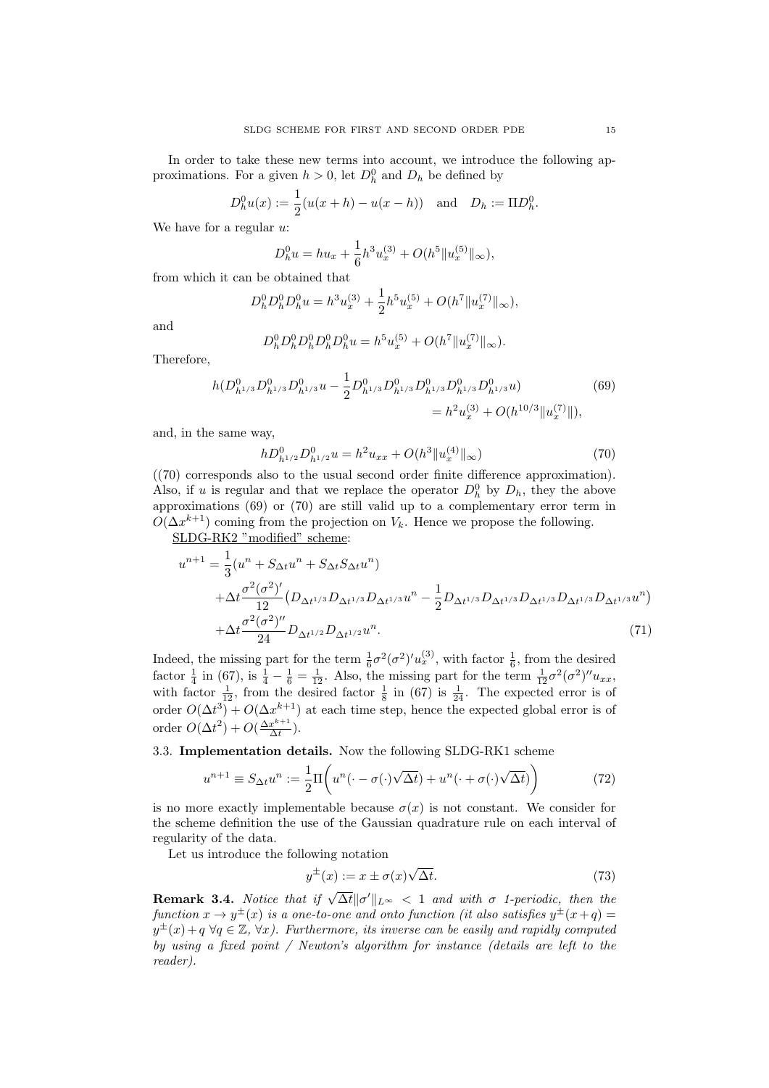In order to take these new terms into account, we introduce the following approximations. For a given  $h > 0$ , let  $D_h^0$  and  $D_h$  be defined by

$$
D_h^0 u(x) := \frac{1}{2}(u(x+h) - u(x-h)) \text{ and } D_h := \Pi D_h^0.
$$

We have for a regular  $u$ :

$$
D_h^0 u = h u_x + \frac{1}{6} h^3 u_x^{(3)} + O(h^5 \| u_x^{(5)} \|_{\infty}),
$$

from which it can be obtained that

$$
D_h^0 D_h^0 D_h^0 u = h^3 u_x^{(3)} + \frac{1}{2} h^5 u_x^{(5)} + O(h^7 \| u_x^{(7)} \|_{\infty}),
$$

and

$$
D_h^0 D_h^0 D_h^0 D_h^0 D_h^0 u = h^5 u_x^{(5)} + O(h^7 \| u_x^{(7)} \|_{\infty}).
$$

Therefore,

$$
h(D_{h^{1/3}}^0 D_{h^{1/3}}^0 D_{h^{1/3}}^0 u - \frac{1}{2} D_{h^{1/3}}^0 D_{h^{1/3}}^0 D_{h^{1/3}}^0 D_{h^{1/3}}^0 D_{h^{1/3}}^0 u) = h^2 u_x^{(3)} + O(h^{10/3} ||u_x^{(7)}||),
$$
\n(69)

and, in the same way,

$$
hD_{h^{1/2}}^0 D_{h^{1/2}}^0 u = h^2 u_{xx} + O(h^3 \|u_x^{(4)}\|_{\infty})
$$
\n(70)

((70) corresponds also to the usual second order finite difference approximation). Also, if u is regular and that we replace the operator  $D_h^0$  by  $D_h$ , they the above approximations (69) or (70) are still valid up to a complementary error term in  $O(\Delta x^{k+1})$  coming from the projection on  $V_k$ . Hence we propose the following.

SLDG-RK2 "modified" scheme:

$$
u^{n+1} = \frac{1}{3} (u^n + S_{\Delta t} u^n + S_{\Delta t} S_{\Delta t} u^n)
$$
  
+ 
$$
\Delta t \frac{\sigma^2 (\sigma^2)'}{12} (D_{\Delta t^{1/3}} D_{\Delta t^{1/3}} D_{\Delta t^{1/3}} u^n - \frac{1}{2} D_{\Delta t^{1/3}} D_{\Delta t^{1/3}} D_{\Delta t^{1/3}} D_{\Delta t^{1/3}} D_{\Delta t^{1/3}} u^n)
$$
  
+ 
$$
\Delta t \frac{\sigma^2 (\sigma^2)''}{24} D_{\Delta t^{1/2}} D_{\Delta t^{1/2}} u^n.
$$
(71)

Indeed, the missing part for the term  $\frac{1}{6}\sigma^2(\sigma^2)'u_x^{(3)}$ , with factor  $\frac{1}{6}$ , from the desired factor  $\frac{1}{4}$  in (67), is  $\frac{1}{4} - \frac{1}{6} = \frac{1}{12}$ . Also, the missing part for the term  $\frac{1}{12}\sigma^2(\sigma^2)^{\prime\prime}u_{xx}$ , with factor  $\frac{1}{12}$ , from the desired factor  $\frac{1}{8}$  in (67) is  $\frac{1}{24}$ . The expected error is of order  $O(\Delta t^3) + O(\Delta x^{k+1})$  at each time step, hence the expected global error is of order  $O(\Delta t^2) + O(\frac{\Delta x^{k+1}}{\Delta t})$  $rac{x^{n+1}}{\Delta t}$ ).

3.3. Implementation details. Now the following SLDG-RK1 scheme

$$
u^{n+1} \equiv S_{\Delta t} u^n := \frac{1}{2} \Pi \bigg( u^n(\cdot - \sigma(\cdot) \sqrt{\Delta t}) + u^n(\cdot + \sigma(\cdot) \sqrt{\Delta t}) \bigg) \tag{72}
$$

is no more exactly implementable because  $\sigma(x)$  is not constant. We consider for the scheme definition the use of the Gaussian quadrature rule on each interval of regularity of the data.

Let us introduce the following notation

$$
y^{\pm}(x) := x \pm \sigma(x) \sqrt{\Delta t}.
$$
 (73)

**Remark 3.4.** Notice that if  $\sqrt{\Delta t} ||\sigma'||_{L^{\infty}} < 1$  and with  $\sigma$  1-periodic, then the function  $x \to y^{\pm}(x)$  is a one-to-one and onto function (it also satisfies  $y^{\pm}(x+q)$  =  $y^{\pm}(x) + q \,\forall q \in \mathbb{Z}, \forall x$ ). Furthermore, its inverse can be easily and rapidly computed by using a fixed point / Newton's algorithm for instance (details are left to the reader).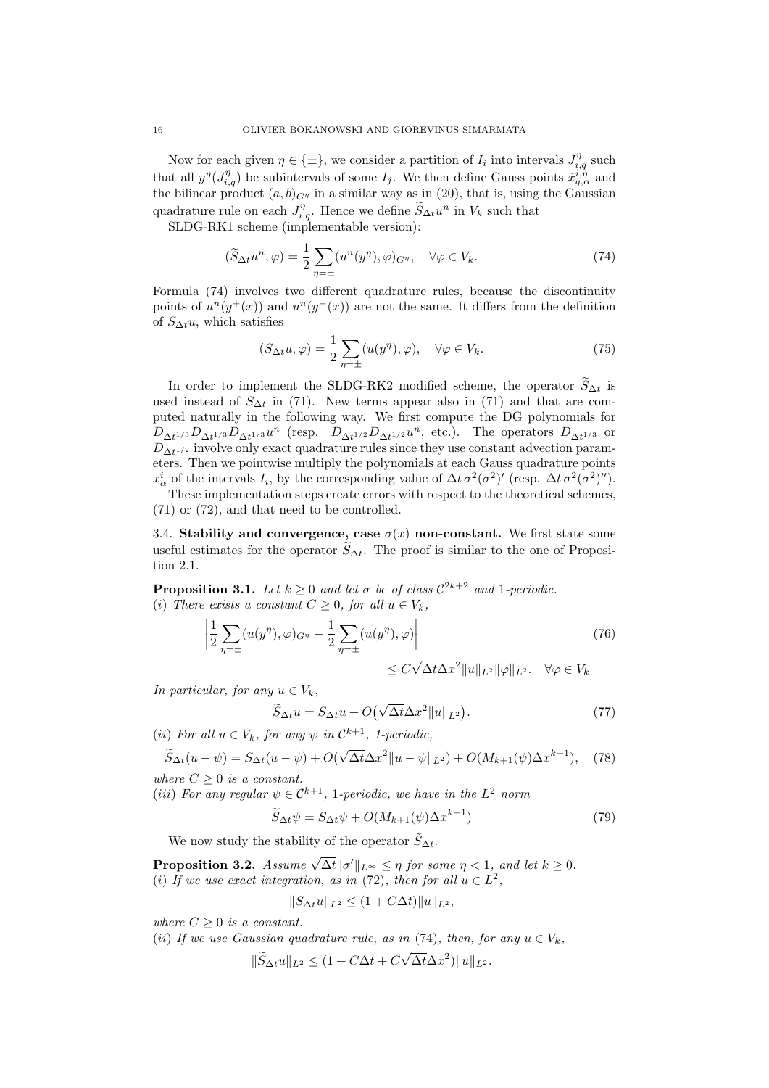Now for each given  $\eta \in \{\pm\}$ , we consider a partition of  $I_i$  into intervals  $J_{i,q}^{\eta}$  such that all  $y^{\eta}(J_{i,q}^{\eta})$  be subintervals of some  $I_j$ . We then define Gauss points  $\tilde{x}_{q,\alpha}^{i,\eta}$  and the bilinear product  $(a, b)_{G^{\eta}}$  in a similar way as in (20), that is, using the Gaussian quadrature rule on each  $J_{i,q}^{\eta}$ . Hence we define  $\widetilde{S}_{\Delta t}u^n$  in  $V_k$  such that

SLDG-RK1 scheme (implementable version):

$$
(\widetilde{S}_{\Delta t}u^n, \varphi) = \frac{1}{2} \sum_{\eta = \pm} (u^n(y^\eta), \varphi)_{G^\eta}, \quad \forall \varphi \in V_k. \tag{74}
$$

Formula (74) involves two different quadrature rules, because the discontinuity points of  $u^{n}(y^{+}(x))$  and  $u^{n}(y^{-}(x))$  are not the same. It differs from the definition of  $S_{\Delta t}u$ , which satisfies

$$
(S_{\Delta t}u, \varphi) = \frac{1}{2} \sum_{\eta = \pm} (u(y^{\eta}), \varphi), \quad \forall \varphi \in V_k.
$$
 (75)

In order to implement the SLDG-RK2 modified scheme, the operator  $\widetilde{S}_{\Delta t}$  is used instead of  $S_{\Delta t}$  in (71). New terms appear also in (71) and that are computed naturally in the following way. We first compute the DG polynomials for  $D_{\Delta t^{1/3}}D_{\Delta t^{1/3}}D_{\Delta t^{1/3}}u^n$  (resp.  $D_{\Delta t^{1/2}}D_{\Delta t^{1/2}}u^n$ , etc.). The operators  $D_{\Delta t^{1/3}}$  or  $D_{\Delta t^{1/2}}$  involve only exact quadrature rules since they use constant advection parameters. Then we pointwise multiply the polynomials at each Gauss quadrature points  $x^i_\alpha$  of the intervals  $I_i$ , by the corresponding value of  $\Delta t \sigma^2(\sigma^2)'$  (resp.  $\Delta t \sigma^2(\sigma^2)''$ ).

These implementation steps create errors with respect to the theoretical schemes, (71) or (72), and that need to be controlled.

3.4. Stability and convergence, case  $\sigma(x)$  non-constant. We first state some useful estimates for the operator  $\widetilde{S}_{\Delta t}$ . The proof is similar to the one of Proposition 2.1.

**Proposition 3.1.** Let  $k \geq 0$  and let  $\sigma$  be of class  $C^{2k+2}$  and 1-periodic. (i) There exists a constant  $C \geq 0$ , for all  $u \in V_k$ ,

$$
\left| \frac{1}{2} \sum_{\eta = \pm} (u(y^{\eta}), \varphi)_{G^{\eta}} - \frac{1}{2} \sum_{\eta = \pm} (u(y^{\eta}), \varphi) \right|
$$
\n
$$
\leq C \sqrt{\Delta t} \Delta x^2 \|u\|_{L^2} \|\varphi\|_{L^2}. \quad \forall \varphi \in V_k
$$
\n(76)

In particular, for any  $u \in V_k$ ,

$$
\widetilde{S}_{\Delta t}u = S_{\Delta t}u + O\left(\sqrt{\Delta t}\Delta x^2 \|u\|_{L^2}\right). \tag{77}
$$

(*ii*) For all  $u \in V_k$ , for any  $\psi$  in  $\mathcal{C}^{k+1}$ , 1-periodic,

$$
\widetilde{S}_{\Delta t}(u-\psi) = S_{\Delta t}(u-\psi) + O(\sqrt{\Delta t} \Delta x^2 ||u-\psi||_{L^2}) + O(M_{k+1}(\psi) \Delta x^{k+1}), \quad (78)
$$

where  $C \geq 0$  is a constant.

(iii) For any regular  $\psi \in C^{k+1}$ , 1-periodic, we have in the  $L^2$  norm

$$
\widetilde{S}_{\Delta t}\psi = S_{\Delta t}\psi + O(M_{k+1}(\psi)\Delta x^{k+1})\tag{79}
$$

We now study the stability of the operator  $\tilde{S}_{\Delta t}$ .

**Proposition 3.2.** Assume  $\sqrt{\Delta t} ||\sigma'||_{L^{\infty}} \leq \eta$  for some  $\eta < 1$ , and let  $k \geq 0$ . (i) If we use exact integration, as in (72), then for all  $u \in L^2$ ,

$$
||S_{\Delta t}u||_{L^2} \le (1 + C\Delta t) ||u||_{L^2},
$$

where  $C \geq 0$  is a constant.

(ii) If we use Gaussian quadrature rule, as in (74), then, for any  $u \in V_k$ ,

$$
\|\widetilde{S}_{\Delta t}u\|_{L^2} \le (1 + C\Delta t + C\sqrt{\Delta t}\Delta x^2)\|u\|_{L^2}.
$$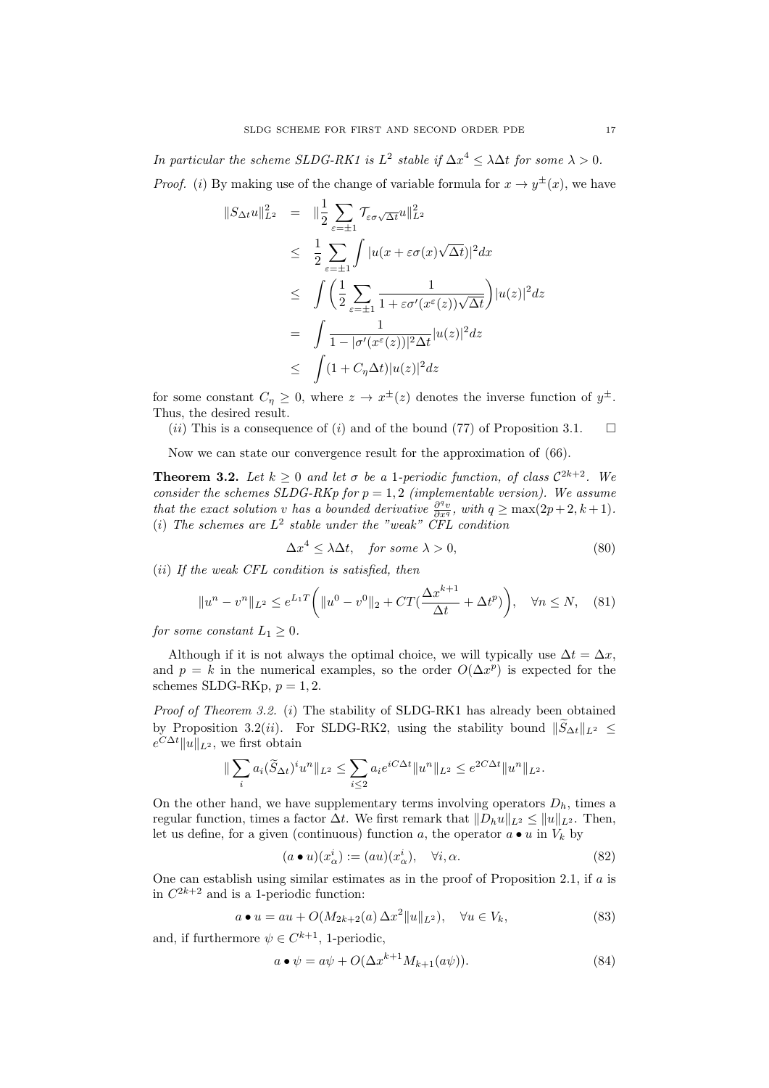In particular the scheme SLDG-RK1 is  $L^2$  stable if  $\Delta x^4 \leq \lambda \Delta t$  for some  $\lambda > 0$ . *Proof.* (i) By making use of the change of variable formula for  $x \to y^{\pm}(x)$ , we have

$$
||S_{\Delta t}u||_{L^{2}}^{2} = ||\frac{1}{2} \sum_{\varepsilon=\pm 1} \mathcal{T}_{\varepsilon\sigma\sqrt{\Delta t}}u||_{L^{2}}^{2}
$$
  
\n
$$
\leq \frac{1}{2} \sum_{\varepsilon=\pm 1} \int |u(x+\varepsilon\sigma(x)\sqrt{\Delta t})|^{2} dx
$$
  
\n
$$
\leq \int \left(\frac{1}{2} \sum_{\varepsilon=\pm 1} \frac{1}{1+\varepsilon\sigma'(x^{\varepsilon}(z))\sqrt{\Delta t}}\right) |u(z)|^{2} dz
$$
  
\n
$$
= \int \frac{1}{1-|\sigma'(x^{\varepsilon}(z))|^{2} \Delta t} |u(z)|^{2} dz
$$
  
\n
$$
\leq \int (1+C_{\eta}\Delta t)|u(z)|^{2} dz
$$

for some constant  $C_{\eta} \geq 0$ , where  $z \to x^{\pm}(z)$  denotes the inverse function of  $y^{\pm}$ . Thus, the desired result.

 $(ii)$  This is a consequence of  $(i)$  and of the bound (77) of Proposition 3.1.  $\Box$ 

Now we can state our convergence result for the approximation of (66).

**Theorem 3.2.** Let  $k \geq 0$  and let  $\sigma$  be a 1-periodic function, of class  $C^{2k+2}$ . We consider the schemes SLDG-RKp for  $p = 1, 2$  (implementable version). We assume that the exact solution v has a bounded derivative  $\frac{\partial^q v}{\partial x^q}$ , with  $q \geq \max(2p+2, k+1)$ . (i) The schemes are  $L^2$  stable under the "weak" CFL condition

$$
\Delta x^4 \le \lambda \Delta t, \quad \text{for some } \lambda > 0,\tag{80}
$$

(ii) If the weak CFL condition is satisfied, then

$$
||u^n - v^n||_{L^2} \le e^{L_1 T} \left( ||u^0 - v^0||_2 + CT(\frac{\Delta x^{k+1}}{\Delta t} + \Delta t^p) \right), \quad \forall n \le N, \quad (81)
$$

for some constant  $L_1 \geq 0$ .

Although if it is not always the optimal choice, we will typically use  $\Delta t = \Delta x$ , and  $p = k$  in the numerical examples, so the order  $O(\Delta x^p)$  is expected for the schemes SLDG-RKp,  $p = 1, 2$ .

Proof of Theorem 3.2. (i) The stability of SLDG-RK1 has already been obtained by Proposition 3.2(*ii*). For SLDG-RK2, using the stability bound  $\|\widetilde{S}_{\Delta t}\|_{L^2} \leq$  $e^{C\Delta t}$ ||u||<sub>L<sup>2</sup></sub>, we first obtain

$$
\|\sum_{i} a_i(\widetilde{S}_{\Delta t})^i u^n\|_{L^2} \le \sum_{i\le 2} a_i e^{iC\Delta t} \|u^n\|_{L^2} \le e^{2C\Delta t} \|u^n\|_{L^2}.
$$

On the other hand, we have supplementary terms involving operators  $D<sub>h</sub>$ , times a regular function, times a factor  $\Delta t$ . We first remark that  $||D_hu||_{L^2} \le ||u||_{L^2}$ . Then, let us define, for a given (continuous) function a, the operator  $a \bullet u$  in  $V_k$  by

$$
(a \bullet u)(x^i_\alpha) := (au)(x^i_\alpha), \quad \forall i, \alpha. \tag{82}
$$

One can establish using similar estimates as in the proof of Proposition 2.1, if a is in  $C^{2k+2}$  and is a 1-periodic function:

$$
a \bullet u = au + O(M_{2k+2}(a) \Delta x^2 ||u||_{L^2}), \quad \forall u \in V_k,
$$
\n(83)

and, if furthermore  $\psi \in C^{k+1}$ , 1-periodic,

$$
a \bullet \psi = a\psi + O(\Delta x^{k+1} M_{k+1}(a\psi)). \tag{84}
$$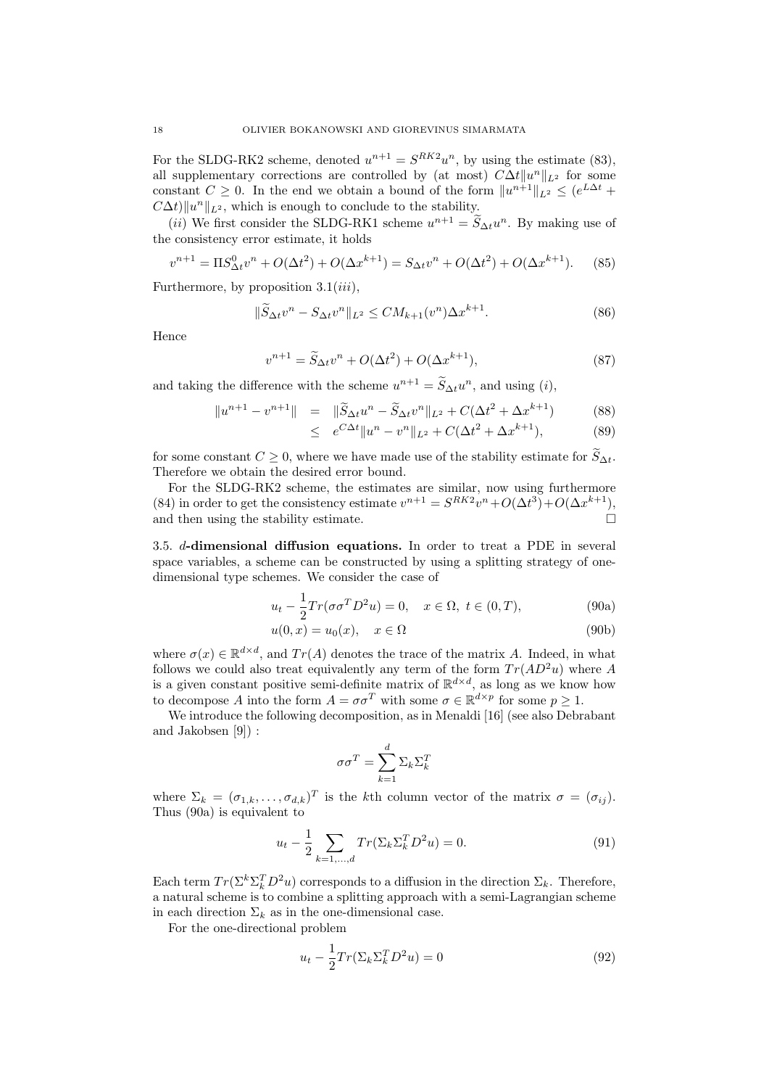For the SLDG-RK2 scheme, denoted  $u^{n+1} = S^{RK2}u^n$ , by using the estimate (83), all supplementary corrections are controlled by (at most)  $C\Delta t ||u^n||_{L^2}$  for some constant  $C \geq 0$ . In the end we obtain a bound of the form  $||u^{n+1}||_{L^2} \leq (e^{L\Delta t} +$  $C\Delta t$ )  $||u^n||_{L^2}$ , which is enough to conclude to the stability.

(*ii*) We first consider the SLDG-RK1 scheme  $u^{n+1} = \tilde{S}_{\Delta t} u^n$ . By making use of the consistency error estimate, it holds

$$
v^{n+1} = \Pi S_{\Delta t}^0 v^n + O(\Delta t^2) + O(\Delta x^{k+1}) = S_{\Delta t} v^n + O(\Delta t^2) + O(\Delta x^{k+1}).
$$
 (85)

Furthermore, by proposition  $3.1(iii)$ ,

$$
\|\widetilde{S}_{\Delta t}v^{n} - S_{\Delta t}v^{n}\|_{L^{2}} \leq CM_{k+1}(v^{n})\Delta x^{k+1}.
$$
\n(86)

Hence

$$
v^{n+1} = \widetilde{S}_{\Delta t}v^n + O(\Delta t^2) + O(\Delta x^{k+1}),\tag{87}
$$

and taking the difference with the scheme  $u^{n+1} = \tilde{S}_{\Delta t} u^n$ , and using  $(i)$ ,

$$
||u^{n+1} - v^{n+1}|| = ||\widetilde{S}_{\Delta t}u^n - \widetilde{S}_{\Delta t}v^n||_{L^2} + C(\Delta t^2 + \Delta x^{k+1})
$$
 (88)

$$
\leq e^{C\Delta t} \|u^n - v^n\|_{L^2} + C(\Delta t^2 + \Delta x^{k+1}),\tag{89}
$$

for some constant  $C \geq 0$ , where we have made use of the stability estimate for  $\widetilde{S}_{\Delta t}$ . Therefore we obtain the desired error bound.

For the SLDG-RK2 scheme, the estimates are similar, now using furthermore (84) in order to get the consistency estimate  $v^{n+1} = S^{RK2}v^n + O(\Delta t^3) + O(\Delta x^{k+1}),$ and then using the stability estimate.

3.5. d-dimensional diffusion equations. In order to treat a PDE in several space variables, a scheme can be constructed by using a splitting strategy of onedimensional type schemes. We consider the case of

$$
u_t - \frac{1}{2} Tr(\sigma \sigma^T D^2 u) = 0, \quad x \in \Omega, \ t \in (0, T), \tag{90a}
$$

$$
u(0,x) = u_0(x), \quad x \in \Omega \tag{90b}
$$

where  $\sigma(x) \in \mathbb{R}^{d \times d}$ , and  $Tr(A)$  denotes the trace of the matrix A. Indeed, in what follows we could also treat equivalently any term of the form  $Tr(AD^2u)$  where A is a given constant positive semi-definite matrix of  $\mathbb{R}^{d \times d}$ , as long as we know how to decompose A into the form  $A = \sigma \sigma^T$  with some  $\sigma \in \mathbb{R}^{d \times p}$  for some  $p \geq 1$ .

We introduce the following decomposition, as in Menaldi [16] (see also Debrabant and Jakobsen [9]) :

$$
\sigma\sigma^T = \sum_{k=1}^d \Sigma_k \Sigma_k^T
$$

where  $\Sigma_k = (\sigma_{1,k}, \ldots, \sigma_{d,k})^T$  is the kth column vector of the matrix  $\sigma = (\sigma_{ij})$ . Thus (90a) is equivalent to

$$
u_t - \frac{1}{2} \sum_{k=1,\dots,d} Tr(\Sigma_k \Sigma_k^T D^2 u) = 0.
$$
 (91)

Each term  $Tr(\Sigma^k \Sigma_k^T D^2 u)$  corresponds to a diffusion in the direction  $\Sigma_k$ . Therefore, a natural scheme is to combine a splitting approach with a semi-Lagrangian scheme in each direction  $\Sigma_k$  as in the one-dimensional case.

For the one-directional problem

$$
u_t - \frac{1}{2} Tr(\Sigma_k \Sigma_k^T D^2 u) = 0
$$
\n(92)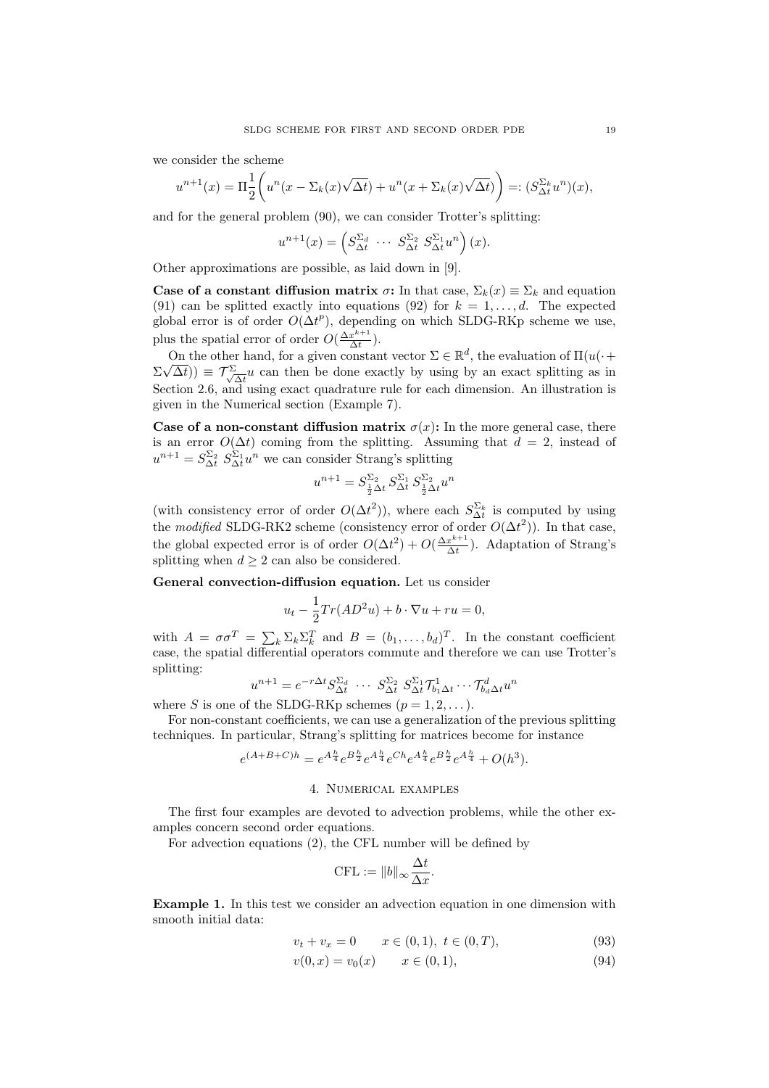we consider the scheme

$$
u^{n+1}(x) = \Pi \frac{1}{2} \left( u^n(x - \Sigma_k(x)\sqrt{\Delta t}) + u^n(x + \Sigma_k(x)\sqrt{\Delta t}) \right) =: (S_{\Delta t}^{\Sigma_k} u^n)(x),
$$

and for the general problem (90), we can consider Trotter's splitting:

$$
u^{n+1}(x) = \left(S_{\Delta t}^{\Sigma_d} \cdots S_{\Delta t}^{\Sigma_2} S_{\Delta t}^{\Sigma_1} u^n\right)(x).
$$

Other approximations are possible, as laid down in [9].

Case of a constant diffusion matrix  $\sigma$ : In that case,  $\Sigma_k(x) \equiv \Sigma_k$  and equation (91) can be splitted exactly into equations (92) for  $k = 1, \ldots, d$ . The expected global error is of order  $O(\Delta t^p)$ , depending on which SLDG-RKp scheme we use, plus the spatial error of order  $O(\frac{\Delta x^{k+1}}{\Delta t})$  $rac{x^{n+1}}{\Delta t}$ ).

On the other hand, for a given constant vector  $\Sigma \in \mathbb{R}^d$ , the evaluation of  $\Pi(u(\cdot + \sqrt{\lambda}))$  $\Sigma\sqrt{\Delta t}))\,\equiv\, {\cal T}^{\Sigma}_{\cal N}$  $\frac{d}{dt}u$  can then be done exactly by using by an exact splitting as in Section 2.6, and using exact quadrature rule for each dimension. An illustration is given in the Numerical section (Example 7).

Case of a non-constant diffusion matrix  $\sigma(x)$ : In the more general case, there is an error  $O(\Delta t)$  coming from the splitting. Assuming that  $d = 2$ , instead of  $u^{n+1} = S_{\Delta t}^{\Sigma_2} S_{\Delta t}^{\Sigma_1} u^n$  we can consider Strang's splitting

$$
u^{n+1} = S_{\frac{1}{2}\Delta t}^{\Sigma_2} S_{\Delta t}^{\Sigma_1} S_{\frac{1}{2}\Delta t}^{\Sigma_2} u^n
$$

(with consistency error of order  $O(\Delta t^2)$ ), where each  $S_{\Delta t}^{\Sigma_k}$  is computed by using the modified SLDG-RK2 scheme (consistency error of order  $O(\Delta t^2)$ ). In that case, the global expected error is of order  $O(\Delta t^2) + O(\frac{\Delta x^{k+1}}{\Delta t})$  $\frac{x^{n+1}}{\Delta t}$ ). Adaptation of Strang's splitting when  $d \geq 2$  can also be considered.

General convection-diffusion equation. Let us consider

$$
u_t - \frac{1}{2}Tr(AD^2u) + b\cdot \nabla u + ru = 0,
$$

with  $A = \sigma \sigma^T = \sum_k \sum_k \sum_k^T$  and  $B = (b_1, \ldots, b_d)^T$ . In the constant coefficient case, the spatial differential operators commute and therefore we can use Trotter's splitting:

$$
u^{n+1} = e^{-r\Delta t} S_{\Delta t}^{\Sigma_d} \cdots S_{\Delta t}^{\Sigma_2} S_{\Delta t}^{\Sigma_1} \mathcal{T}_{b_1 \Delta t}^1 \cdots \mathcal{T}_{b_d \Delta t}^d u^n
$$

where S is one of the SLDG-RKp schemes  $(p = 1, 2, \dots)$ .

For non-constant coefficients, we can use a generalization of the previous splitting techniques. In particular, Strang's splitting for matrices become for instance

$$
e^{(A+B+C)h} = e^{A\frac{h}{4}}e^{B\frac{h}{2}}e^{A\frac{h}{4}}e^{Ch}e^{A\frac{h}{4}}e^{B\frac{h}{2}}e^{A\frac{h}{4}} + O(h^3).
$$

### 4. Numerical examples

The first four examples are devoted to advection problems, while the other examples concern second order equations.

For advection equations (2), the CFL number will be defined by

$$
CFL := ||b||_{\infty} \frac{\Delta t}{\Delta x}.
$$

Example 1. In this test we consider an advection equation in one dimension with smooth initial data:

$$
v_t + v_x = 0 \t x \in (0,1), \ t \in (0,T), \t (93)
$$

$$
v(0, x) = v_0(x) \qquad x \in (0, 1), \tag{94}
$$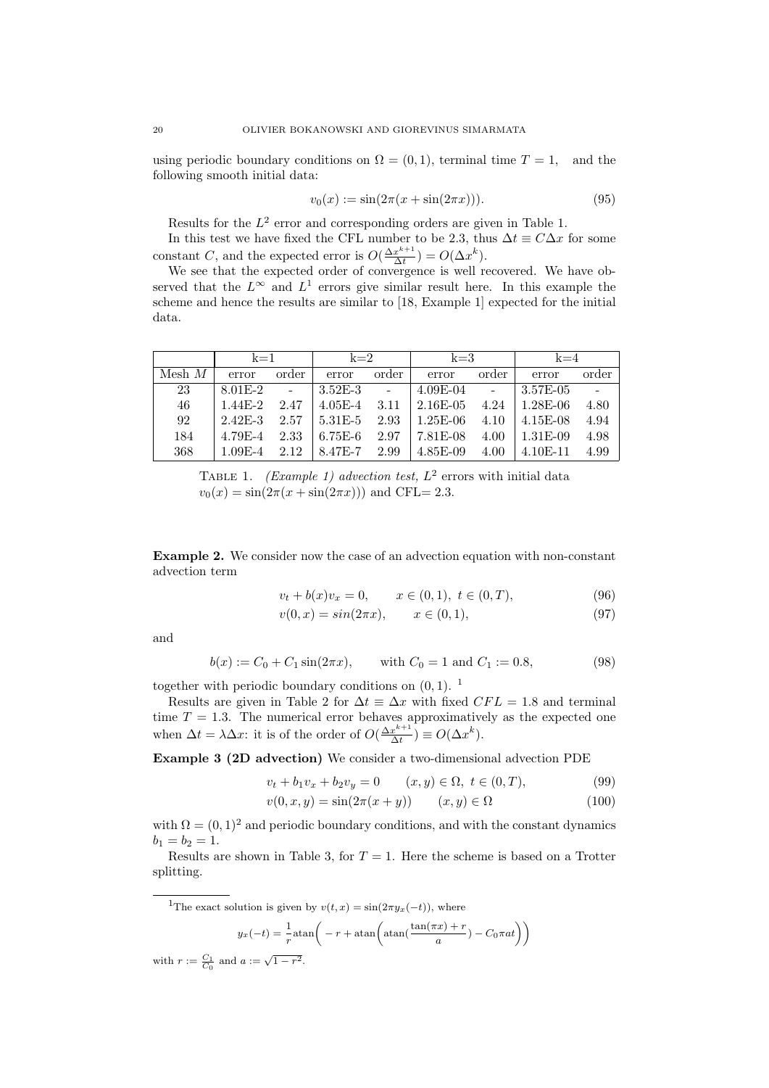using periodic boundary conditions on  $\Omega = (0, 1)$ , terminal time  $T = 1$ , and the following smooth initial data:

$$
v_0(x) := \sin(2\pi(x + \sin(2\pi x))).
$$
\n(95)

Results for the  $L^2$  error and corresponding orders are given in Table 1.

In this test we have fixed the CFL number to be 2.3, thus  $\Delta t \equiv C\Delta x$  for some constant C, and the expected error is  $O(\frac{\Delta x^{k+1}}{\Delta t})$  $\frac{x^{k+1}}{\Delta t}$ ) =  $O(\Delta x^k)$ .

We see that the expected order of convergence is well recovered. We have observed that the  $L^{\infty}$  and  $L^{1}$  errors give similar result here. In this example the scheme and hence the results are similar to [18, Example 1] expected for the initial data.

|          | $k=1$                    |       | $k=2$                      |       | $k=3$                                                          |       | $k=4$                  |       |
|----------|--------------------------|-------|----------------------------|-------|----------------------------------------------------------------|-------|------------------------|-------|
| Mesh $M$ | error                    | order | error                      | order | error                                                          | order | error                  | order |
| 23       |                          |       | $8.01E-2$ - $13.52E-3$ -   |       | $4.09E-04$ - $3.57E-05$                                        |       |                        |       |
| 46       |                          |       |                            |       | $1.44E-2$ $2.47$ $4.05E-4$ $3.11$ $2.16E-05$ $4.24$ $1.28E-06$ |       |                        | 4.80  |
| 92       |                          |       |                            |       | 2.42E-3 2.57   5.31E-5 2.93   1.25E-06 4.10   4.15E-08         |       |                        | 4.94  |
| 184      |                          |       | $4.79E-4$ $2.33$ $6.75E-6$ |       | $2.97$   $7.81E-08$                                            |       | $4.00 \pm 1.31E - 0.9$ | 4.98  |
| 368      | $1.09E-4$ 2.12 $8.47E-7$ |       |                            |       | 2.99 $ 4.85E-09$                                               | 4.00  | $\pm 4.10E - 11$       | 4.99  |

TABLE 1. (Example 1) advection test,  $L^2$  errors with initial data  $v_0(x) = \sin(2\pi(x + \sin(2\pi x)))$  and CFL= 2.3.

Example 2. We consider now the case of an advection equation with non-constant advection term

$$
v_t + b(x)v_x = 0, \qquad x \in (0,1), \ t \in (0,T), \tag{96}
$$

$$
v(0, x) = \sin(2\pi x), \qquad x \in (0, 1), \tag{97}
$$

and

$$
b(x) := C_0 + C_1 \sin(2\pi x), \quad \text{with } C_0 = 1 \text{ and } C_1 := 0.8,\tag{98}
$$

together with periodic boundary conditions on  $(0, 1)$ . <sup>1</sup>

Results are given in Table 2 for  $\Delta t \equiv \Delta x$  with fixed  $CFL = 1.8$  and terminal time  $T = 1.3$ . The numerical error behaves approximatively as the expected one when  $\Delta t = \lambda \Delta x$ : it is of the order of  $O(\frac{\Delta x^{k+1}}{\Delta t})$  $\frac{x^{k+1}}{\Delta t}$ )  $\equiv O(\Delta x^k)$ .

Example 3 (2D advection) We consider a two-dimensional advection PDE

$$
v_t + b_1 v_x + b_2 v_y = 0 \qquad (x, y) \in \Omega, \ t \in (0, T), \tag{99}
$$

$$
v(0, x, y) = \sin(2\pi(x + y)) \qquad (x, y) \in \Omega \tag{100}
$$

with  $\Omega = (0, 1)^2$  and periodic boundary conditions, and with the constant dynamics  $b_1 = b_2 = 1.$ 

Results are shown in Table 3, for  $T = 1$ . Here the scheme is based on a Trotter splitting.

<sup>1</sup>The exact solution is given by  $v(t, x) = \sin(2\pi y_x(-t))$ , where

$$
y_x(-t) = \frac{1}{r} \operatorname{atan}\left(-r + \operatorname{atan}\left(\frac{\tan(\pi x) + r}{a}\right) - C_0 \pi a t\right)\right)
$$

with  $r := \frac{C_1}{C_0}$  and  $a := \sqrt{1 - r^2}$ .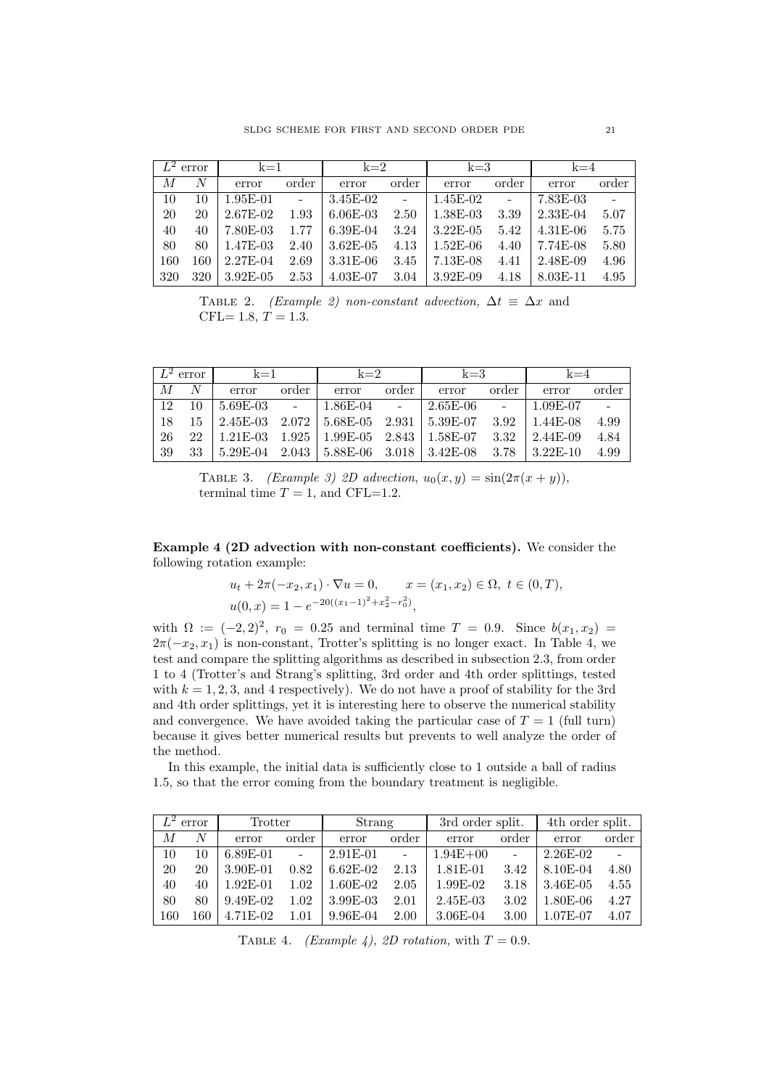|     | $\overline{L^2}$ error | $k=1$      |        | $k=2$        |                | $k=3$       |                | $k=4$      |       |
|-----|------------------------|------------|--------|--------------|----------------|-------------|----------------|------------|-------|
| M   | N                      | error      | order  | error        | order          | error       | order          | error      | order |
| 10  | 10                     | $1.95E-01$ | $\sim$ | $3.45E-02$   | $\overline{a}$ | $1.45E-02$  | $\overline{a}$ | 7.83E-03   |       |
| 20  | 20                     | 2.67E-02   | 1.93   | $6.06E-03$   | 2.50           | 1.38E-03    | 3.39           | $2.33E-04$ | 5.07  |
| 40  | 40                     | 7.80E-03   | 1.77   | $6.39E-04$   | 3.24           | $3.22E-05$  | 5.42           | $4.31E-06$ | 5.75  |
| 80  | 80                     | 1.47E-03   | 2.40   | $3.62E - 05$ | 4.13           | $1.52E-06$  | 4.40           | 7.74E-08   | 5.80  |
| 160 | 160                    | $2.27E-04$ | 2.69   | $3.31E-06$   | 3.45           | $7.13E-08$  | 4.41           | 2.48E-09   | 4.96  |
| 320 | 320                    | 3.92E-05   | 2.53   | $4.03E-07$   | 3.04           | $3.92E-0.9$ | 4.18           | 8.03E-11   | 4.95  |

TABLE 2. (Example 2) non-constant advection,  $\Delta t \equiv \Delta x$  and CFL= 1.8,  $T = 1.3$ .

|     | $\perp$ $L^2$ error |       | $k=1$ |                                                                                              | $k=2$ |       | $k=3$ |              | $k=4$ |  |
|-----|---------------------|-------|-------|----------------------------------------------------------------------------------------------|-------|-------|-------|--------------|-------|--|
| M   | N                   | error | order | error                                                                                        | order | error | order | error        | order |  |
| 12  | 10                  |       |       | 5.69E-03 -   1.86E-04 -   2.65E-06 -                                                         |       |       |       | 1.09E-07     |       |  |
| 18  |                     |       |       | $15 \mid 2.45E-03 \mid 2.072 \mid 5.68E-05 \mid 2.931 \mid 5.39E-07 \mid 3.92$               |       |       |       | $1.44E-08$   | 4.99  |  |
| -26 |                     |       |       | $22 \mid 1.21E-03 \mid 1.925 \mid 1.99E-05 \mid 2.843 \mid 1.58E-07 \mid 3.32$               |       |       |       | $12.44E-0.9$ | 4.84  |  |
| -39 | 33                  |       |       | $\mid 5.29E-04 \quad 2.043 \mid 5.88E-06 \quad 3.018 \mid 3.42E-08 \quad 3.78 \mid 3.22E-10$ |       |       |       |              | 4.99  |  |

TABLE 3. (Example 3) 2D advection,  $u_0(x, y) = \sin(2\pi(x + y))$ , terminal time  $T = 1$ , and CFL=1.2.

Example 4 (2D advection with non-constant coefficients). We consider the following rotation example:

$$
u_t + 2\pi(-x_2, x_1) \cdot \nabla u = 0, \qquad x = (x_1, x_2) \in \Omega, \ t \in (0, T),
$$
  

$$
u(0, x) = 1 - e^{-20((x_1 - 1)^2 + x_2^2 - r_0^2)},
$$

with  $\Omega := (-2,2)^2$ ,  $r_0 = 0.25$  and terminal time  $T = 0.9$ . Since  $b(x_1, x_2) =$  $2\pi(-x_2, x_1)$  is non-constant, Trotter's splitting is no longer exact. In Table 4, we test and compare the splitting algorithms as described in subsection 2.3, from order 1 to 4 (Trotter's and Strang's splitting, 3rd order and 4th order splittings, tested with  $k = 1, 2, 3$ , and 4 respectively). We do not have a proof of stability for the 3rd and 4th order splittings, yet it is interesting here to observe the numerical stability and convergence. We have avoided taking the particular case of  $T = 1$  (full turn) because it gives better numerical results but prevents to well analyze the order of the method.

In this example, the initial data is sufficiently close to 1 outside a ball of radius 1.5, so that the error coming from the boundary treatment is negligible.

|     | $L^2$ error    | Trotter    |          | Strang     |        | 3rd order split. |          | 4th order split. |       |
|-----|----------------|------------|----------|------------|--------|------------------|----------|------------------|-------|
| М   | $\overline{N}$ | error      | order    | error      | order  | error            | order    | error            | order |
| 10  | 10             | $6.89E-01$ |          | $2.91E-01$ | $\sim$ | $1.94E + 00$     | $\equiv$ | $2.26E-02$       |       |
| 20  | 20             | 3.90E-01   | 0.82     | $6.62E-02$ | 2.13   | 1.81E-01         | 3.42     | 8.10E-04         | 4.80  |
| 40  | 40             | $1.92E-01$ | 1.02     | $1.60E-02$ | 2.05   | 1.99E-02         | 3.18     | 3.46E-05         | 4.55  |
| 80  | 80             | $9.49E-02$ | 1.02     | $3.99E-03$ | 2.01   | $2.45E-03$       | 3.02     | 1.80E-06         | 4.27  |
| 160 | 160            | $4.71E-02$ | $1.01\,$ | $9.96E-04$ | 2.00   | $3.06E-04$       | 3.00     | 1.07E-07         | 4.07  |

TABLE 4. (Example 4), 2D rotation, with  $T = 0.9$ .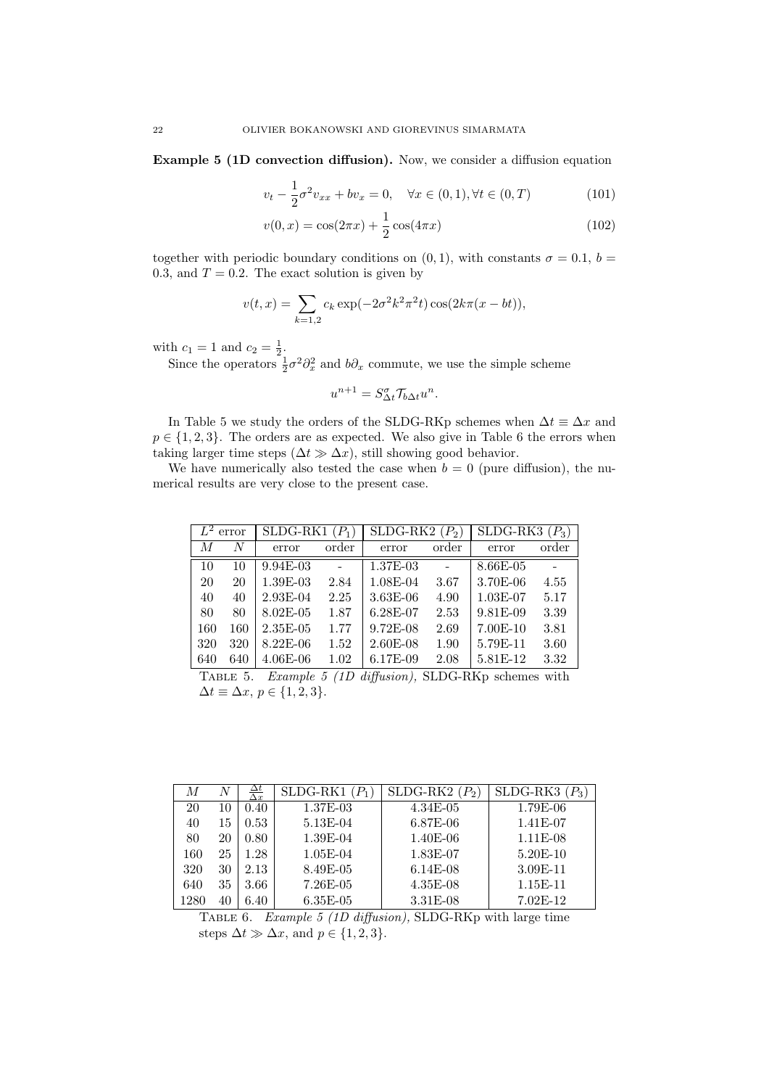Example 5 (1D convection diffusion). Now, we consider a diffusion equation

$$
v_t - \frac{1}{2}\sigma^2 v_{xx} + bv_x = 0, \quad \forall x \in (0, 1), \forall t \in (0, T)
$$
 (101)

$$
v(0,x) = \cos(2\pi x) + \frac{1}{2}\cos(4\pi x)
$$
 (102)

together with periodic boundary conditions on  $(0, 1)$ , with constants  $\sigma = 0.1$ ,  $b =$ 0.3, and  $T = 0.2$ . The exact solution is given by

$$
v(t,x) = \sum_{k=1,2} c_k \exp(-2\sigma^2 k^2 \pi^2 t) \cos(2k\pi (x - bt)),
$$

with  $c_1 = 1$  and  $c_2 = \frac{1}{2}$ .

Since the operators  $\frac{1}{2}\sigma^2 \partial_x^2$  and  $b\partial_x$  commute, we use the simple scheme

$$
u^{n+1} = S^{\sigma}_{\Delta t} \mathcal{T}_{b\Delta t} u^n.
$$

In Table 5 we study the orders of the SLDG-RKp schemes when  $\Delta t \equiv \Delta x$  and  $p \in \{1, 2, 3\}$ . The orders are as expected. We also give in Table 6 the errors when taking larger time steps  $(\Delta t \gg \Delta x)$ , still showing good behavior.

We have numerically also tested the case when  $b = 0$  (pure diffusion), the numerical results are very close to the present case.

|     | SLDG-RK1<br>$(P_1)$<br>error |               | SLDG-RK2 | $(P_2)$      | SLDG-RK3<br>$(P_3)$ |            |       |
|-----|------------------------------|---------------|----------|--------------|---------------------|------------|-------|
| М   | N                            | error         | order    | error        | order               | error      | order |
| 10  | 10                           | $9.94E-03$    |          | 1.37E-03     |                     | 8.66E-05   |       |
| 20  | 20                           | 1.39E-03      | 2.84     | 1.08E-04     | 3.67                | 3.70E-06   | 4.55  |
| 40  | 40                           | 2.93E-04      | 2.25     | $3.63E - 06$ | 4.90                | $1.03E-07$ | 5.17  |
| 80  | 80                           | $8.02E - 0.5$ | 1.87     | 6.28E-07     | 2.53                | 9.81E-09   | 3.39  |
| 160 | 160                          | 2.35E-05      | 1.77     | $9.72E-08$   | 2.69                | $7.00E-10$ | 3.81  |
| 320 | 320                          | $8.22E-06$    | 1.52     | $2.60E-08$   | 1.90                | 5.79E-11   | 3.60  |
| 640 | 640                          | $4.06E-06$    | 1.02     | 6.17E-09     | 2.08                | 5.81E-12   | 3.32  |

Table 5. Example 5 (1D diffusion), SLDG-RKp schemes with  $\Delta t \equiv \Delta x, p \in \{1, 2, 3\}.$ 

| М    | N  | $\frac{\Delta t}{\Delta x}$ | $SLDG-RK1(P1)$ | $SLDG-RK2(P_2)$ | SLDG-RK3   |
|------|----|-----------------------------|----------------|-----------------|------------|
| 20   | 10 | 0.40                        | 1.37E-03       | $4.34E-05$      | 1.79E-06   |
| 40   | 15 | 0.53                        | 5.13E-04       | $6.87E-06$      | 1.41E-07   |
| 80   | 20 | 0.80                        | 1.39E-04       | $1.40E-06$      | $1.11E-08$ |
| 160  | 25 | 1.28                        | $1.05E-04$     | 1.83E-07        | $5.20E-10$ |
| 320  | 30 | 2.13                        | 8.49E-05       | $6.14E-08$      | 3.09E-11   |
| 640  | 35 | 3.66                        | 7.26E-05       | $4.35E-08$      | $1.15E-11$ |
| 1280 | 40 | 6.40                        | $6.35E-05$     | 3.31E-08        | $7.02E-12$ |

Table 6. Example 5 (1D diffusion), SLDG-RKp with large time steps  $\Delta t \gg \Delta x$ , and  $p \in \{1, 2, 3\}.$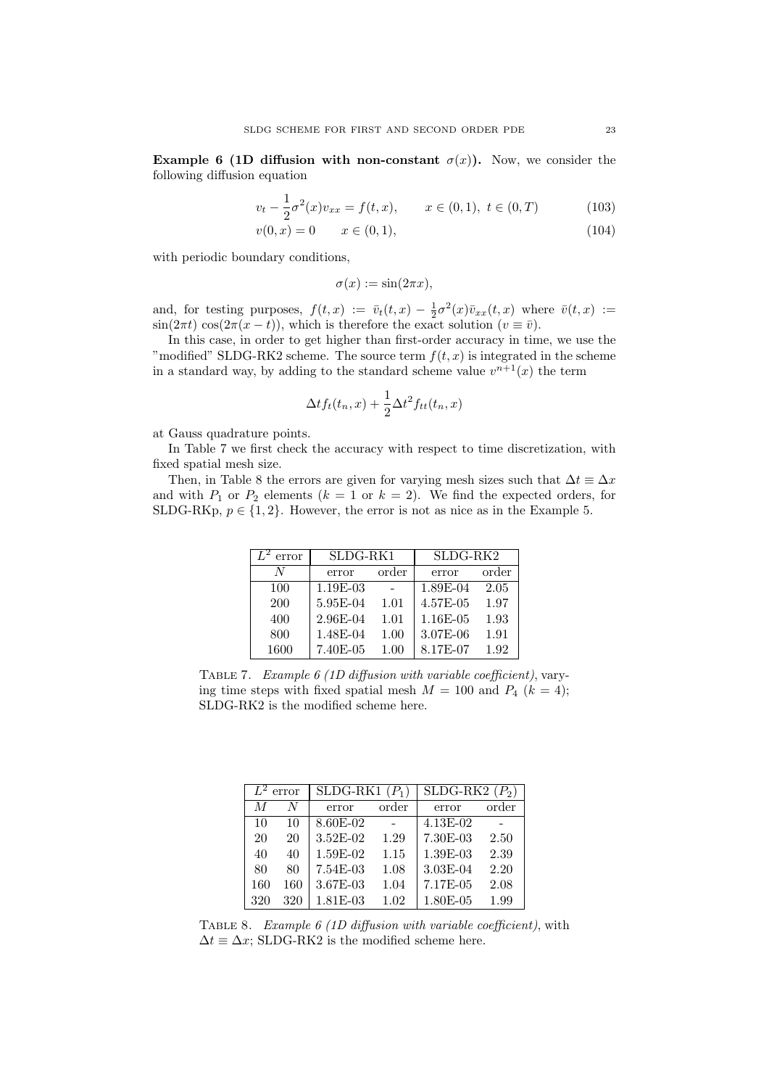Example 6 (1D diffusion with non-constant  $\sigma(x)$ ). Now, we consider the following diffusion equation

$$
v_t - \frac{1}{2}\sigma^2(x)v_{xx} = f(t, x), \qquad x \in (0, 1), \ t \in (0, T) \tag{103}
$$

$$
v(0, x) = 0 \qquad x \in (0, 1), \tag{104}
$$

with periodic boundary conditions,

$$
\sigma(x) := \sin(2\pi x),
$$

and, for testing purposes,  $f(t,x) := \bar{v}_t(t,x) - \frac{1}{2}\sigma^2(x)\bar{v}_{xx}(t,x)$  where  $\bar{v}(t,x) :=$  $\sin(2\pi t) \cos(2\pi(x-t))$ , which is therefore the exact solution  $(v \equiv \bar{v})$ .

In this case, in order to get higher than first-order accuracy in time, we use the "modified" SLDG-RK2 scheme. The source term  $f(t, x)$  is integrated in the scheme in a standard way, by adding to the standard scheme value  $v^{n+1}(x)$  the term

$$
\Delta t f_t(t_n, x) + \frac{1}{2} \Delta t^2 f_{tt}(t_n, x)
$$

at Gauss quadrature points.

In Table 7 we first check the accuracy with respect to time discretization, with fixed spatial mesh size.

Then, in Table 8 the errors are given for varying mesh sizes such that  $\Delta t \equiv \Delta x$ and with  $P_1$  or  $P_2$  elements  $(k = 1 \text{ or } k = 2)$ . We find the expected orders, for SLDG-RKp,  $p \in \{1, 2\}$ . However, the error is not as nice as in the Example 5.

| error | SLDG-RK1 |       | SLDG-RK2 |       |  |
|-------|----------|-------|----------|-------|--|
| N     | error    | order | error    | order |  |
| 100   | 1.19E-03 |       | 1.89E-04 | 2.05  |  |
| 200   | 5.95E-04 | 1.01  | 4.57E-05 | 1.97  |  |
| 400   | 2.96E-04 | 1.01  | 1.16E-05 | 1.93  |  |
| 800   | 1.48E-04 | 1.00  | 3.07E-06 | 1.91  |  |
| 1600  | 7.40E-05 | 1.00  | 8.17E-07 | 1.92  |  |

TABLE 7. Example 6 (1D diffusion with variable coefficient), varying time steps with fixed spatial mesh  $M = 100$  and  $P_4$   $(k = 4)$ ; SLDG-RK2 is the modified scheme here.

| $\overline{L^2}$ error |     | SLDG-RK1 | $(P_1)$ | SLDG-RK2<br>$(P_2)$ |       |  |
|------------------------|-----|----------|---------|---------------------|-------|--|
| M                      | N   | error    | order   | error               | order |  |
| 10                     | 10  | 8.60E-02 |         | 4.13E-02            |       |  |
| 20                     | 20  | 3.52E-02 | 1.29    | 7.30E-03            | 2.50  |  |
| 40                     | 40  | 1.59E-02 | 1.15    | 1.39E-03            | 2.39  |  |
| 80                     | 80  | 7.54E-03 | 1.08    | $3.03E-04$          | 2.20  |  |
| 160                    | 160 | 3.67E-03 | 1.04    | 7.17E-05            | 2.08  |  |
| 320                    | 320 | 1.81E-03 | 1.02    | 1.80E-05            | 1.99  |  |

Table 8. Example 6 (1D diffusion with variable coefficient), with  $\Delta t \equiv \Delta x$ ; SLDG-RK2 is the modified scheme here.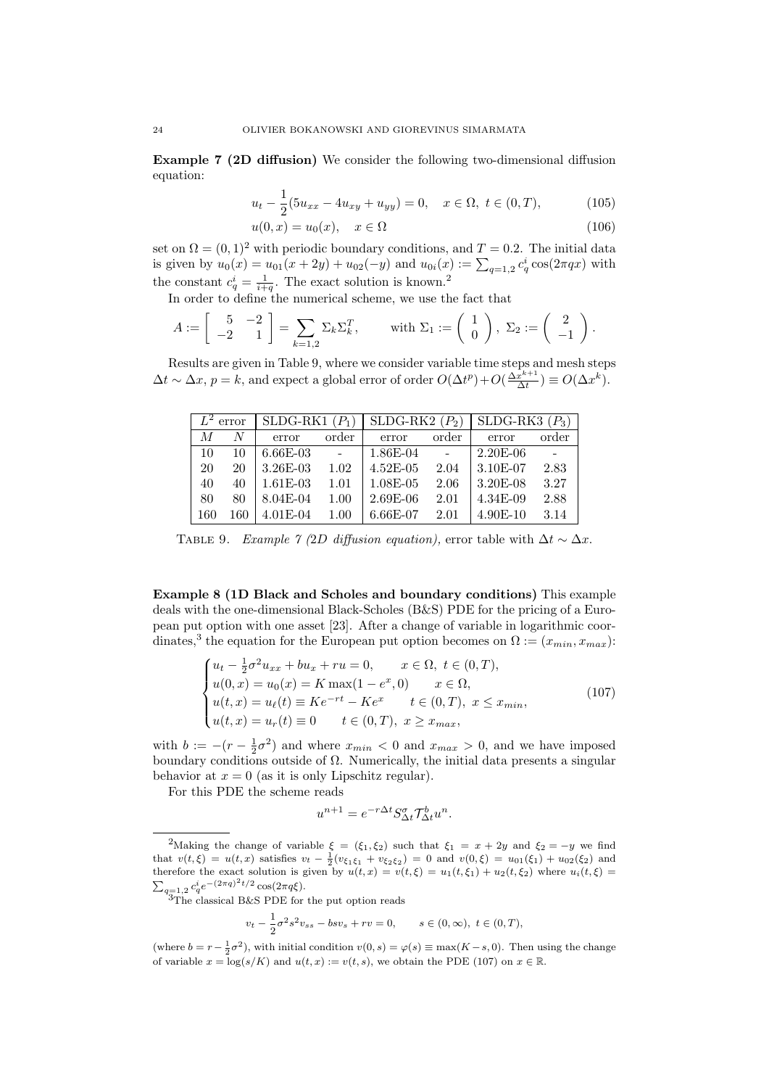Example 7 (2D diffusion) We consider the following two-dimensional diffusion equation:

$$
u_t - \frac{1}{2}(5u_{xx} - 4u_{xy} + u_{yy}) = 0, \quad x \in \Omega, \ t \in (0, T), \tag{105}
$$

$$
u(0,x) = u_0(x), \quad x \in \Omega \tag{106}
$$

set on  $\Omega = (0, 1)^2$  with periodic boundary conditions, and  $T = 0.2$ . The initial data is given by  $u_0(x) = u_{01}(x + 2y) + u_{02}(-y)$  and  $u_{0i}(x) := \sum_{q=1,2} c_q^i \cos(2\pi qx)$  with the constant  $c_q^i = \frac{1}{i+q}$ . The exact solution is known.<sup>2</sup>

In order to define the numerical scheme, we use the fact that

$$
A := \begin{bmatrix} 5 & -2 \\ -2 & 1 \end{bmatrix} = \sum_{k=1,2} \Sigma_k \Sigma_k^T, \quad \text{with } \Sigma_1 := \begin{pmatrix} 1 \\ 0 \end{pmatrix}, \ \Sigma_2 := \begin{pmatrix} 2 \\ -1 \end{pmatrix}.
$$

Results are given in Table 9, where we consider variable time steps and mesh steps  $\Delta t \sim \Delta x, p = k$ , and expect a global error of order  $O(\Delta t^p) + O(\frac{\Delta x^{k+1}}{\Delta t})$  $\frac{x^{k+1}}{\Delta t}$ )  $\equiv O(\Delta x^k)$ .

|                | $\overline{L^2}$ error<br>SLDG-RK1 $(P_1)$ |             | SLDG-RK2 $(P_2)$ |               | SLDG-RK3 $(P_3)$ |            |       |
|----------------|--------------------------------------------|-------------|------------------|---------------|------------------|------------|-------|
| $\overline{M}$ | N                                          | error       | order            | error         | order            | error      | order |
| 10             | 10                                         | $6.66E-03$  | $\sim$ $-$       | $1.86E-04$    | $\sim$           | $2.20E-06$ |       |
| 20             | 20                                         | $3.26E-03$  | 1.02             | $4.52E-05$    | 2.04             | $3.10E-07$ | 2.83  |
| 40             | 40                                         | $1.61E-0.3$ | 1.01             | $1.08E - 0.5$ | 2.06             | $3.20E-08$ | 3.27  |
| 80             | 80                                         | 8.04E-04    | 1.00             | $2.69E-06$    | 2.01             | $4.34E-09$ | 2.88  |
| 160            | 160                                        | $4.01E-04$  | 1.00             | $6.66E-07$    | 2.01             | 4.90E-10   | 3.14  |

TABLE 9. Example 7 (2D diffusion equation), error table with  $\Delta t \sim \Delta x$ .

Example 8 (1D Black and Scholes and boundary conditions) This example deals with the one-dimensional Black-Scholes (B&S) PDE for the pricing of a European put option with one asset [23]. After a change of variable in logarithmic coordinates,<sup>3</sup> the equation for the European put option becomes on  $\Omega := (x_{min}, x_{max})$ :

$$
\begin{cases}\nu_t - \frac{1}{2}\sigma^2 u_{xx} + bu_x + ru = 0, & x \in \Omega, \ t \in (0, T), \\
u(0, x) = u_0(x) = K \max(1 - e^x, 0) & x \in \Omega, \\
u(t, x) = u_\ell(t) \equiv Ke^{-rt} - Ke^x & t \in (0, T), \ x \le x_{min}, \\
u(t, x) = u_r(t) \equiv 0 & t \in (0, T), \ x \ge x_{max},\n\end{cases} (107)
$$

with  $b := -(r - \frac{1}{2}\sigma^2)$  and where  $x_{min} < 0$  and  $x_{max} > 0$ , and we have imposed boundary conditions outside of  $\Omega$ . Numerically, the initial data presents a singular behavior at  $x = 0$  (as it is only Lipschitz regular).

For this PDE the scheme reads

$$
u^{n+1} = e^{-r\Delta t} S^{\sigma}_{\Delta t} \mathcal{T}^b_{\Delta t} u^n.
$$

The classical B&S PDE for the put option reads

$$
v_t - \frac{1}{2}\sigma^2 s^2 v_{ss} - b s v_s + r v = 0,
$$
  $s \in (0, \infty), t \in (0, T),$ 

<sup>&</sup>lt;sup>2</sup>Making the change of variable  $\xi = (\xi_1, \xi_2)$  such that  $\xi_1 = x + 2y$  and  $\xi_2 = -y$  we find that  $v(t,\xi) = u(t,x)$  satisfies  $v_t - \frac{1}{2}(v_{\xi_1\xi_1} + v_{\xi_2\xi_2}) = 0$  and  $v(0,\xi) = u_{01}(\xi_1) + u_{02}(\xi_2)$  and therefore the exact solution is given by  $u(t, x) = v(t, \xi) = u_1(t, \xi_1) + u_2(t, \xi_2)$  where  $u_i(t, \xi) =$  $\sum_{q=1,2} c_q^i e^{-(2\pi q)^2 t/2} \cos(2\pi q \xi).$ 

<sup>(</sup>where  $b = r - \frac{1}{2}\sigma^2$ ), with initial condition  $v(0, s) = \varphi(s) \equiv \max(K - s, 0)$ . Then using the change of variable  $x = \log(s/K)$  and  $u(t, x) := v(t, s)$ , we obtain the PDE (107) on  $x \in \mathbb{R}$ .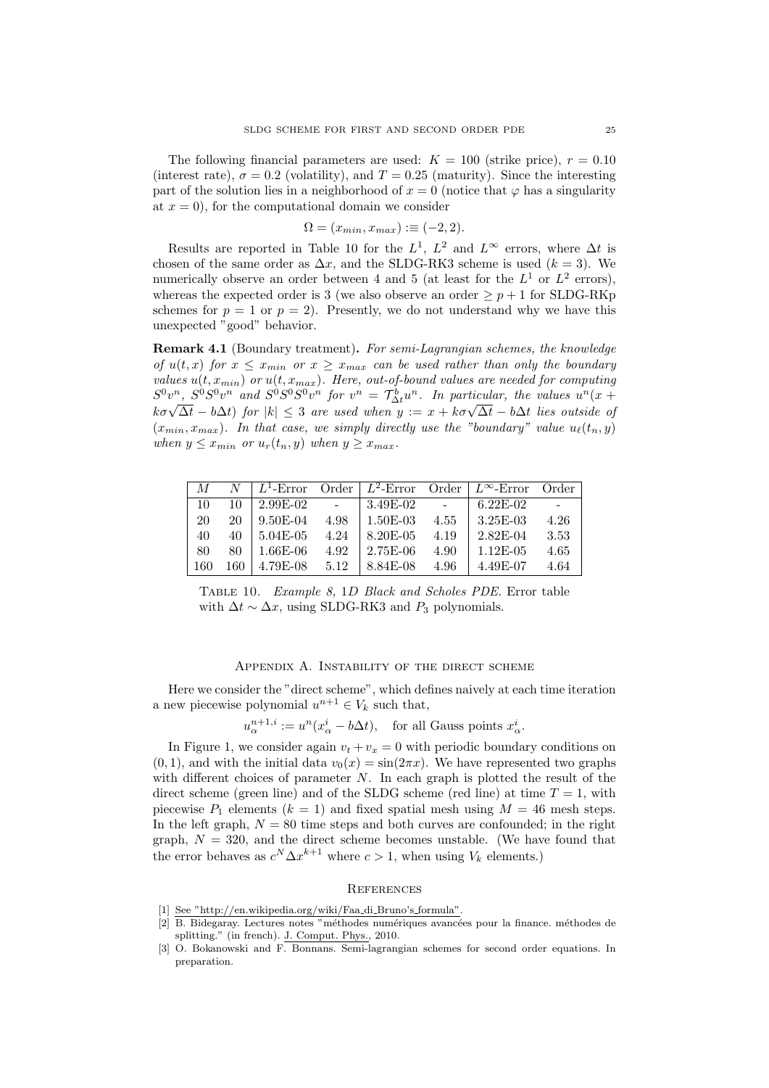The following financial parameters are used:  $K = 100$  (strike price),  $r = 0.10$ (interest rate),  $\sigma = 0.2$  (volatility), and  $T = 0.25$  (maturity). Since the interesting part of the solution lies in a neighborhood of  $x = 0$  (notice that  $\varphi$  has a singularity at  $x = 0$ , for the computational domain we consider

$$
\Omega = (x_{min}, x_{max}) := (-2, 2).
$$

Results are reported in Table 10 for the  $L^1$ ,  $L^2$  and  $L^{\infty}$  errors, where  $\Delta t$  is chosen of the same order as  $\Delta x$ , and the SLDG-RK3 scheme is used  $(k = 3)$ . We numerically observe an order between 4 and 5 (at least for the  $L^1$  or  $L^2$  errors), whereas the expected order is 3 (we also observe an order  $\geq p+1$  for SLDG-RKp schemes for  $p = 1$  or  $p = 2$ ). Presently, we do not understand why we have this unexpected "good" behavior.

Remark 4.1 (Boundary treatment). For semi-Lagrangian schemes, the knowledge of  $u(t, x)$  for  $x \leq x_{min}$  or  $x \geq x_{max}$  can be used rather than only the boundary values  $u(t, x_{min})$  or  $u(t, x_{max})$ . Here, out-of-bound values are needed for computing  $S^0v^n$ ,  $S^0S^0v^n$  and  $S^0S^0S^0v^n$  for  $v^n = \mathcal{T}_{\Delta t}^b u^n$ . In particular, the values  $u^n(x +$  $k\sigma\sqrt{\Delta t} - b\Delta t$  for  $|k| \leq 3$  are used when  $y := x + k\sigma\sqrt{\Delta t} - b\Delta t$  lies outside of  $(x_{min}, x_{max})$ . In that case, we simply directly use the "boundary" value  $u_{\ell}(t_n, y)$ when  $y \leq x_{min}$  or  $u_r(t_n, y)$  when  $y \geq x_{max}$ .

| M   |     | $L^1$ -Error |      | Order $\overline{L^2}$ -Error |      | Order $\mid L^{\infty}$ -Error | Order |
|-----|-----|--------------|------|-------------------------------|------|--------------------------------|-------|
| 10  |     | $2.99E-02$   |      | 3.49E-02                      |      | $6.22E-02$                     |       |
| 20  | 20  | 9.50E-04     | 4.98 | 1.50E-03                      | 4.55 | $3.25E-03$                     | 4.26  |
| 40  | 40  | 5.04E-05     | 4.24 | 8.20E-05                      | 4.19 | 2.82E-04                       | 3.53  |
| 80  | 80  | 1.66E-06     | 4.92 | $2.75E-06$                    | 4.90 | $1.12E-05$                     | 4.65  |
| 160 | 160 | 4.79E-08     | 5.12 | 8.84E-08                      | 4.96 | 4.49E-07                       | 4.64  |

Table 10. Example 8, 1D Black and Scholes PDE. Error table with  $\Delta t \sim \Delta x$ , using SLDG-RK3 and  $P_3$  polynomials.

#### APPENDIX A. INSTABILITY OF THE DIRECT SCHEME

Here we consider the "direct scheme", which defines naively at each time iteration a new piecewise polynomial  $u^{n+1} \in V_k$  such that,

$$
u_{\alpha}^{n+1,i} := u^n(x_{\alpha}^i - b\Delta t), \quad \text{for all Gauss points } x_{\alpha}^i.
$$

In Figure 1, we consider again  $v_t + v_x = 0$  with periodic boundary conditions on  $(0, 1)$ , and with the initial data  $v_0(x) = \sin(2\pi x)$ . We have represented two graphs with different choices of parameter  $N$ . In each graph is plotted the result of the direct scheme (green line) and of the SLDG scheme (red line) at time  $T = 1$ , with piecewise  $P_1$  elements  $(k = 1)$  and fixed spatial mesh using  $M = 46$  mesh steps. In the left graph,  $N = 80$  time steps and both curves are confounded; in the right graph,  $N = 320$ , and the direct scheme becomes unstable. (We have found that the error behaves as  $c^N \Delta x^{k+1}$  where  $c > 1$ , when using  $V_k$  elements.)

# **REFERENCES**

- [1] See "http://en.wikipedia.org/wiki/Faa di Bruno's formula".
- [2] B. Bidegaray. Lectures notes "m´ethodes num´eriques avanc´ees pour la finance. m´ethodes de splitting." (in french). J. Comput. Phys., 2010.
- [3] O. Bokanowski and F. Bonnans. Semi-lagrangian schemes for second order equations. In preparation.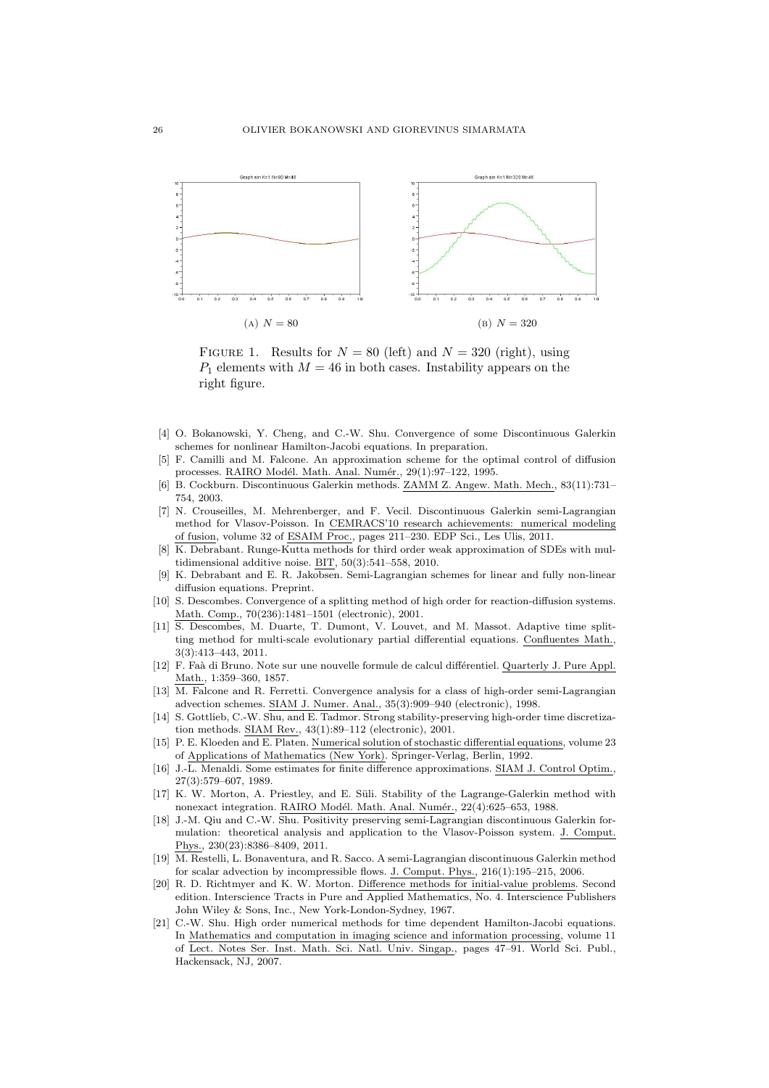

FIGURE 1. Results for  $N = 80$  (left) and  $N = 320$  (right), using  $P_1$  elements with  $M = 46$  in both cases. Instability appears on the right figure.

- [4] O. Bokanowski, Y. Cheng, and C.-W. Shu. Convergence of some Discontinuous Galerkin schemes for nonlinear Hamilton-Jacobi equations. In preparation.
- [5] F. Camilli and M. Falcone. An approximation scheme for the optimal control of diffusion processes. RAIRO Modél. Math. Anal. Numér., 29(1):97-122, 1995.
- [6] B. Cockburn. Discontinuous Galerkin methods. ZAMM Z. Angew. Math. Mech., 83(11):731– 754, 2003.
- [7] N. Crouseilles, M. Mehrenberger, and F. Vecil. Discontinuous Galerkin semi-Lagrangian method for Vlasov-Poisson. In CEMRACS'10 research achievements: numerical modeling of fusion, volume 32 of ESAIM Proc., pages 211–230. EDP Sci., Les Ulis, 2011.
- [8] K. Debrabant. Runge-Kutta methods for third order weak approximation of SDEs with multidimensional additive noise. BIT, 50(3):541–558, 2010.
- [9] K. Debrabant and E. R. Jakobsen. Semi-Lagrangian schemes for linear and fully non-linear diffusion equations. Preprint.
- [10] S. Descombes. Convergence of a splitting method of high order for reaction-diffusion systems. Math. Comp., 70(236):1481–1501 (electronic), 2001.
- [11] S. Descombes, M. Duarte, T. Dumont, V. Louvet, and M. Massot. Adaptive time splitting method for multi-scale evolutionary partial differential equations. Confluentes Math., 3(3):413–443, 2011.
- [12] F. Faà di Bruno. Note sur une nouvelle formule de calcul différentiel. Quarterly J. Pure Appl. Math., 1:359–360, 1857.
- [13] M. Falcone and R. Ferretti. Convergence analysis for a class of high-order semi-Lagrangian advection schemes. SIAM J. Numer. Anal., 35(3):909–940 (electronic), 1998.
- [14] S. Gottlieb, C.-W. Shu, and E. Tadmor. Strong stability-preserving high-order time discretization methods. SIAM Rev., 43(1):89–112 (electronic), 2001.
- [15] P. E. Kloeden and E. Platen. Numerical solution of stochastic differential equations, volume 23 of Applications of Mathematics (New York). Springer-Verlag, Berlin, 1992.
- [16] J.-L. Menaldi. Some estimates for finite difference approximations. SIAM J. Control Optim., 27(3):579–607, 1989.
- [17] K. W. Morton, A. Priestley, and E. Süli. Stability of the Lagrange-Galerkin method with nonexact integration. RAIRO Modél. Math. Anal. Numér., 22(4):625-653, 1988.
- [18] J.-M. Qiu and C.-W. Shu. Positivity preserving semi-Lagrangian discontinuous Galerkin formulation: theoretical analysis and application to the Vlasov-Poisson system. J. Comput. Phys., 230(23):8386–8409, 2011.
- [19] M. Restelli, L. Bonaventura, and R. Sacco. A semi-Lagrangian discontinuous Galerkin method for scalar advection by incompressible flows. J. Comput. Phys., 216(1):195–215, 2006.
- [20] R. D. Richtmyer and K. W. Morton. Difference methods for initial-value problems. Second edition. Interscience Tracts in Pure and Applied Mathematics, No. 4. Interscience Publishers John Wiley & Sons, Inc., New York-London-Sydney, 1967.
- [21] C.-W. Shu. High order numerical methods for time dependent Hamilton-Jacobi equations. In Mathematics and computation in imaging science and information processing, volume 11 of Lect. Notes Ser. Inst. Math. Sci. Natl. Univ. Singap., pages 47–91. World Sci. Publ., Hackensack, NJ, 2007.